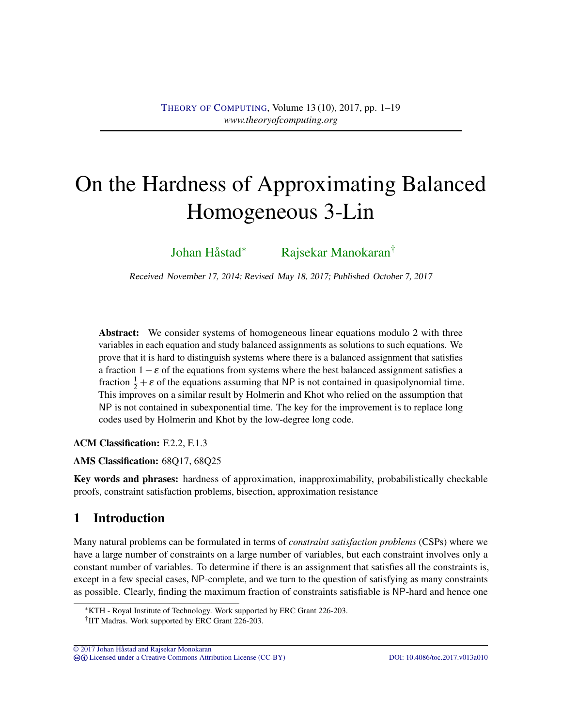# On the Hardness of Approximating Balanced Homogeneous 3-Lin

[Johan Håstad](#page-17-0)<sup>∗</sup> [Rajsekar Manokaran](#page-18-0)†

Received November 17, 2014; Revised May 18, 2017; Published October 7, 2017

Abstract: We consider systems of homogeneous linear equations modulo 2 with three variables in each equation and study balanced assignments as solutions to such equations. We prove that it is hard to distinguish systems where there is a balanced assignment that satisfies a fraction  $1-\varepsilon$  of the equations from systems where the best balanced assignment satisfies a fraction  $\frac{1}{2} + \varepsilon$  of the equations assuming that NP is not contained in quasipolynomial time. This improves on a similar result by Holmerin and Khot who relied on the assumption that NP is not contained in subexponential time. The key for the improvement is to replace long codes used by Holmerin and Khot by the low-degree long code.

ACM Classification: F.2.2, F.1.3

AMS Classification: 68Q17, 68Q25

Key words and phrases: hardness of approximation, inapproximability, probabilistically checkable proofs, constraint satisfaction problems, bisection, approximation resistance

# 1 Introduction

Many natural problems can be formulated in terms of *constraint satisfaction problems* (CSPs) where we have a large number of constraints on a large number of variables, but each constraint involves only a constant number of variables. To determine if there is an assignment that satisfies all the constraints is, except in a few special cases, NP-complete, and we turn to the question of satisfying as many constraints as possible. Clearly, finding the maximum fraction of constraints satisfiable is NP-hard and hence one

 $\overline{O}$  2017 Johan Håstad and Rajsekar Monokaran cb [Licensed under a Creative Commons Attribution License \(CC-BY\)](http://creativecommons.org/licenses/by/3.0/) [DOI: 10.4086/toc.2017.v013a010](http://dx.doi.org/10.4086/toc.2017.v013a010)

<sup>∗</sup>KTH - Royal Institute of Technology. Work supported by ERC Grant 226-203.

<sup>†</sup> IIT Madras. Work supported by ERC Grant 226-203.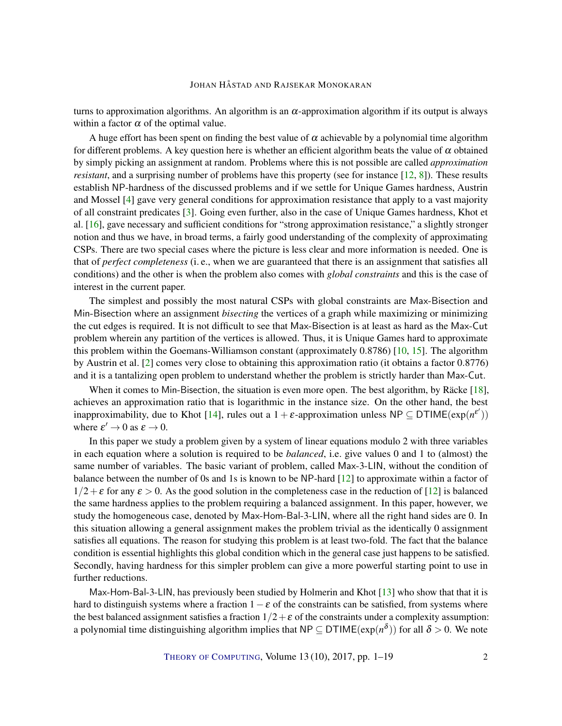<span id="page-1-0"></span>turns to approximation algorithms. An algorithm is an  $\alpha$ -approximation algorithm if its output is always within a factor  $\alpha$  of the optimal value.

A huge effort has been spent on finding the best value of  $\alpha$  achievable by a polynomial time algorithm for different problems. A key question here is whether an efficient algorithm beats the value of  $\alpha$  obtained by simply picking an assignment at random. Problems where this is not possible are called *approximation resistant*, and a surprising number of problems have this property (see for instance [\[12,](#page-17-1) [8\]](#page-16-0)). These results establish NP-hardness of the discussed problems and if we settle for Unique Games hardness, Austrin and Mossel [\[4\]](#page-16-1) gave very general conditions for approximation resistance that apply to a vast majority of all constraint predicates [\[3\]](#page-16-2). Going even further, also in the case of Unique Games hardness, Khot et al. [\[16\]](#page-17-2), gave necessary and sufficient conditions for "strong approximation resistance," a slightly stronger notion and thus we have, in broad terms, a fairly good understanding of the complexity of approximating CSPs. There are two special cases where the picture is less clear and more information is needed. One is that of *perfect completeness* (i. e., when we are guaranteed that there is an assignment that satisfies all conditions) and the other is when the problem also comes with *global constraints* and this is the case of interest in the current paper.

The simplest and possibly the most natural CSPs with global constraints are Max-Bisection and Min-Bisection where an assignment *bisecting* the vertices of a graph while maximizing or minimizing the cut edges is required. It is not difficult to see that Max-Bisection is at least as hard as the Max-Cut problem wherein any partition of the vertices is allowed. Thus, it is Unique Games hard to approximate this problem within the Goemans-Williamson constant (approximately 0.8786) [\[10,](#page-16-3) [15\]](#page-17-3). The algorithm by Austrin et al. [\[2\]](#page-16-4) comes very close to obtaining this approximation ratio (it obtains a factor 0.8776) and it is a tantalizing open problem to understand whether the problem is strictly harder than Max-Cut.

When it comes to Min-Bisection, the situation is even more open. The best algorithm, by Räcke [\[18\]](#page-17-4), achieves an approximation ratio that is logarithmic in the instance size. On the other hand, the best inapproximability, due to Khot [\[14\]](#page-17-5), rules out a  $1 + \varepsilon$ -approximation unless NP  $\subseteq$  DTIME $(\exp(n^{\varepsilon'}))$ where  $\varepsilon' \to 0$  as  $\varepsilon \to 0$ .

In this paper we study a problem given by a system of linear equations modulo 2 with three variables in each equation where a solution is required to be *balanced*, i.e. give values 0 and 1 to (almost) the same number of variables. The basic variant of problem, called Max-3-LIN, without the condition of balance between the number of 0s and 1s is known to be NP-hard [\[12\]](#page-17-1) to approximate within a factor of  $1/2+\epsilon$  for any  $\epsilon > 0$ . As the good solution in the completeness case in the reduction of [\[12\]](#page-17-1) is balanced the same hardness applies to the problem requiring a balanced assignment. In this paper, however, we study the homogeneous case, denoted by Max-Hom-Bal-3-LIN, where all the right hand sides are 0. In this situation allowing a general assignment makes the problem trivial as the identically 0 assignment satisfies all equations. The reason for studying this problem is at least two-fold. The fact that the balance condition is essential highlights this global condition which in the general case just happens to be satisfied. Secondly, having hardness for this simpler problem can give a more powerful starting point to use in further reductions.

Max-Hom-Bal-3-LIN, has previously been studied by Holmerin and Khot [\[13\]](#page-17-6) who show that that it is hard to distinguish systems where a fraction  $1-\varepsilon$  of the constraints can be satisfied, from systems where the best balanced assignment satisfies a fraction  $1/2 + \varepsilon$  of the constraints under a complexity assumption: a polynomial time distinguishing algorithm implies that NP  $\subseteq$  DTIME $(\exp(n^\delta))$  for all  $\delta > 0$ . We note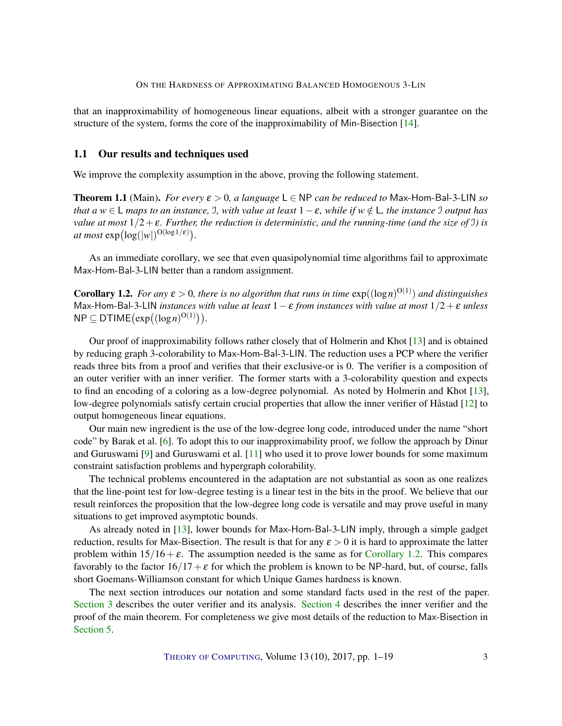<span id="page-2-2"></span>that an inapproximability of homogeneous linear equations, albeit with a stronger guarantee on the structure of the system, forms the core of the inapproximability of Min-Bisection [\[14\]](#page-17-5).

## 1.1 Our results and techniques used

We improve the complexity assumption in the above, proving the following statement.

<span id="page-2-1"></span>**Theorem 1.1** (Main). *For every*  $\varepsilon > 0$ , a language  $L \in NP$  *can be reduced to* Max-Hom-Bal-3-LIN *so that a*  $w \in L$  *maps to an instance*, *J, with value at least*  $1 - \varepsilon$ *, while if*  $w \notin L$ *, the instance* J *output has value at most*  $1/2 + \varepsilon$ *. Further, the reduction is deterministic, and the running-time (and the size of* J) is *at most*  $\exp(\log(|w|)^{O(\log 1/\epsilon)})$ .

As an immediate corollary, we see that even quasipolynomial time algorithms fail to approximate Max-Hom-Bal-3-LIN better than a random assignment.

<span id="page-2-0"></span>**Corollary 1.2.** For any  $\varepsilon > 0$ , there is no algorithm that runs in time  $\exp((\log n)^{O(1)})$  and distinguishes Max-Hom-Bal-3-LIN *instances with value at least* 1−ε *from instances with value at most* 1/2+ε *unless*  $NP \subseteq DTIME(exp((log n)^{O(1)})).$ 

Our proof of inapproximability follows rather closely that of Holmerin and Khot [\[13\]](#page-17-6) and is obtained by reducing graph 3-colorability to Max-Hom-Bal-3-LIN. The reduction uses a PCP where the verifier reads three bits from a proof and verifies that their exclusive-or is 0. The verifier is a composition of an outer verifier with an inner verifier. The former starts with a 3-colorability question and expects to find an encoding of a coloring as a low-degree polynomial. As noted by Holmerin and Khot [\[13\]](#page-17-6), low-degree polynomials satisfy certain crucial properties that allow the inner verifier of Håstad [\[12\]](#page-17-1) to output homogeneous linear equations.

Our main new ingredient is the use of the low-degree long code, introduced under the name "short code" by Barak et al. [\[6\]](#page-16-5). To adopt this to our inapproximability proof, we follow the approach by Dinur and Guruswami [\[9\]](#page-16-6) and Guruswami et al. [\[11\]](#page-17-7) who used it to prove lower bounds for some maximum constraint satisfaction problems and hypergraph colorability.

The technical problems encountered in the adaptation are not substantial as soon as one realizes that the line-point test for low-degree testing is a linear test in the bits in the proof. We believe that our result reinforces the proposition that the low-degree long code is versatile and may prove useful in many situations to get improved asymptotic bounds.

As already noted in [\[13\]](#page-17-6), lower bounds for Max-Hom-Bal-3-LIN imply, through a simple gadget reduction, results for Max-Bisection. The result is that for any  $\varepsilon > 0$  it is hard to approximate the latter problem within  $15/16 + \varepsilon$ . The assumption needed is the same as for [Corollary](#page-2-0) [1.2.](#page-2-0) This compares favorably to the factor  $16/17+\epsilon$  for which the problem is known to be NP-hard, but, of course, falls short Goemans-Williamson constant for which Unique Games hardness is known.

The next section introduces our notation and some standard facts used in the rest of the paper. [Section](#page-6-0) [3](#page-6-0) describes the outer verifier and its analysis. [Section](#page-10-0) [4](#page-10-0) describes the inner verifier and the proof of the main theorem. For completeness we give most details of the reduction to Max-Bisection in [Section](#page-14-0) [5.](#page-14-0)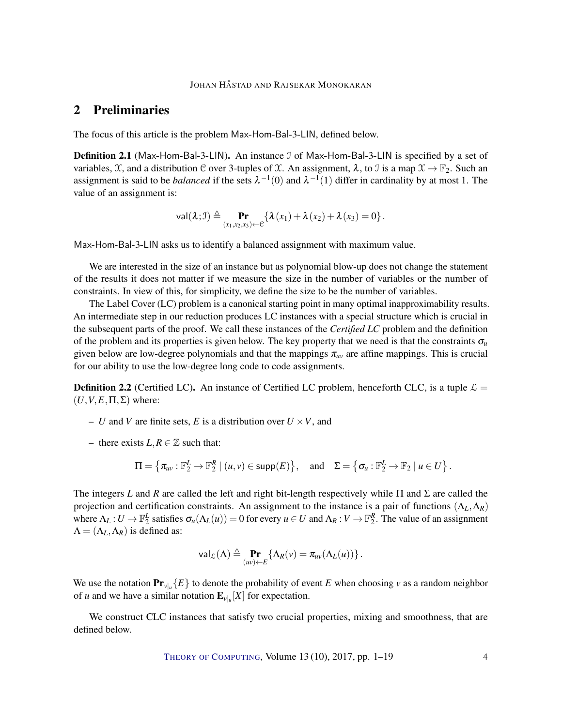## 2 Preliminaries

The focus of this article is the problem Max-Hom-Bal-3-LIN, defined below.

**Definition 2.1** (Max-Hom-Bal-3-LIN). An instance J of Max-Hom-Bal-3-LIN is specified by a set of variables,  $\mathcal{X}$ , and a distribution C over 3-tuples of  $\mathcal{X}$ . An assignment,  $\lambda$ , to J is a map  $\mathcal{X} \to \mathbb{F}_2$ . Such an assignment is said to be *balanced* if the sets  $\lambda^{-1}(0)$  and  $\lambda^{-1}(1)$  differ in cardinality by at most 1. The value of an assignment is:

$$
\mathsf{val}(\lambda; \mathcal{I}) \triangleq \Pr_{(x_1, x_2, x_3) \leftarrow \mathcal{C}} \{ \lambda(x_1) + \lambda(x_2) + \lambda(x_3) = 0 \}.
$$

Max-Hom-Bal-3-LIN asks us to identify a balanced assignment with maximum value.

We are interested in the size of an instance but as polynomial blow-up does not change the statement of the results it does not matter if we measure the size in the number of variables or the number of constraints. In view of this, for simplicity, we define the size to be the number of variables.

The Label Cover (LC) problem is a canonical starting point in many optimal inapproximability results. An intermediate step in our reduction produces LC instances with a special structure which is crucial in the subsequent parts of the proof. We call these instances of the *Certified LC* problem and the definition of the problem and its properties is given below. The key property that we need is that the constraints  $\sigma_u$ given below are low-degree polynomials and that the mappings  $\pi_{uv}$  are affine mappings. This is crucial for our ability to use the low-degree long code to code assignments.

**Definition 2.2** (Certified LC). An instance of Certified LC problem, henceforth CLC, is a tuple  $\mathcal{L} =$  $(U, V, E, \Pi, \Sigma)$  where:

- *U* and *V* are finite sets, *E* is a distribution over  $U \times V$ , and
- there exists  $L, R \in \mathbb{Z}$  such that:

$$
\Pi = \left\{ \pi_{uv} : \mathbb{F}_2^L \to \mathbb{F}_2^R \mid (u, v) \in \mathsf{supp}(E) \right\}, \quad \text{and} \quad \Sigma = \left\{ \sigma_u : \mathbb{F}_2^L \to \mathbb{F}_2 \mid u \in U \right\}.
$$

The integers *L* and *R* are called the left and right bit-length respectively while Π and Σ are called the projection and certification constraints. An assignment to the instance is a pair of functions (Λ*L*,Λ*R*) where  $\Lambda_L: U \to \mathbb{F}_2^L$  satisfies  $\sigma_u(\Lambda_L(u)) = 0$  for every  $u \in U$  and  $\Lambda_R: V \to \mathbb{F}_2^R$ . The value of an assignment  $\Lambda = (\Lambda_L, \Lambda_R)$  is defined as:

$$
\mathsf{val}_{\mathcal{L}}(\Lambda) \triangleq \Pr_{(uv)\leftarrow E} \{ \Lambda_R(v) = \pi_{uv}(\Lambda_L(u)) \}.
$$

We use the notation  $\Pr_{v|u} \{E\}$  to denote the probability of event *E* when choosing *v* as a random neighbor of *u* and we have a similar notation  $\mathbf{E}_{v|x}[X]$  for expectation.

We construct CLC instances that satisfy two crucial properties, mixing and smoothness, that are defined below.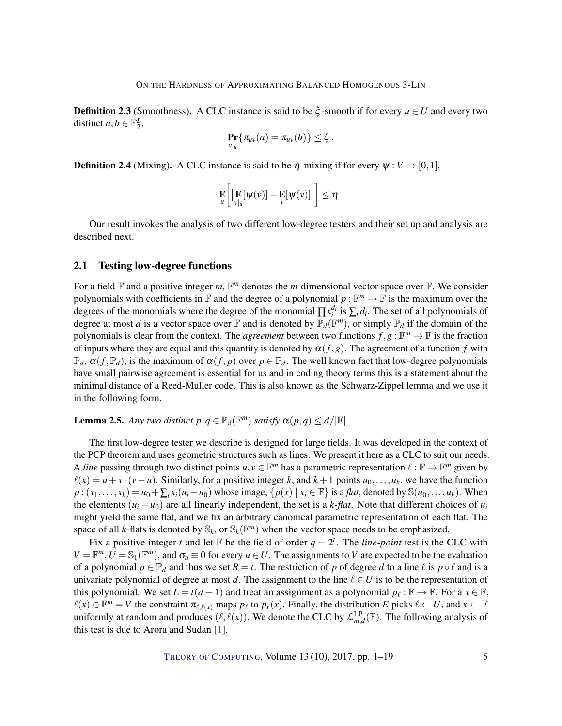<span id="page-4-1"></span>**Definition 2.3** (Smoothness). A CLC instance is said to be  $\xi$ -smooth if for every  $u \in U$  and every two distinct  $a, b \in \mathbb{F}_2^L$ ,

$$
\Pr_{v|_u} \{ \pi_{uv}(a) = \pi_{uv}(b) \} \leq \xi.
$$

**Definition 2.4** (Mixing). A CLC instance is said to be  $\eta$ -mixing if for every  $\psi : V \to [0,1]$ ,

$$
\mathbf{E}\left[\left|\mathbf{E}\left[\psi(v)\right]-\mathbf{E}\left[\psi(v)\right]\right|\right]\leq \eta.
$$

Our result invokes the analysis of two different low-degree testers and their set up and analysis are described next.

#### 2.1 Testing low-degree functions

For a field  $\mathbb F$  and a positive integer m,  $\mathbb F^m$  denotes the m-dimensional vector space over  $\mathbb F$ . We consider polynomials with coefficients in  $\mathbb F$  and the degree of a polynomial  $p : \mathbb F^m \to \mathbb F$  is the maximum over the degrees of the monomials where the degree of the monomial  $\prod x_i^{d_i}$  is  $\sum_i d_i$ . The set of all polynomials of degree at most *d* is a vector space over  $\mathbb F$  and is denoted by  $\mathbb P_d(\mathbb F^m)$ , or simply  $\mathbb P_d$  if the domain of the polynomials is clear from the context. The *agreement* between two functions  $f, g : \mathbb{F}^m \to \mathbb{F}$  is the fraction of inputs where they are equal and this quantity is denoted by  $\alpha(f,g)$ . The agreement of a function f with  $\mathbb{P}_d$ ,  $\alpha(f, \mathbb{P}_d)$ , is the maximum of  $\alpha(f, p)$  over  $p \in \mathbb{P}_d$ . The well known fact that low-degree polynomials have small pairwise agreement is essential for us and in coding theory terms this is a statement about the minimal distance of a Reed-Muller code. This is also known as the Schwarz-Zippel lemma and we use it in the following form.

# <span id="page-4-0"></span>**Lemma 2.5.** Any two distinct  $p, q \in \mathbb{P}_d(\mathbb{F}^m)$  satisfy  $\alpha(p,q) \le d/|\mathbb{F}|$ .

The first low-degree tester we describe is designed for large fields. It was developed in the context of the PCP theorem and uses geometric structures such as lines. We present it here as a CLC to suit our needs. A *line* passing through two distinct points  $u, v \in \mathbb{F}^m$  has a parametric representation  $\ell : \mathbb{F} \to \mathbb{F}^m$  given by  $\ell(x) = u + x \cdot (v - u)$ . Similarly, for a positive integer *k*, and  $k + 1$  points  $u_0, \ldots, u_k$ , we have the function  $p:(x_1,\ldots,x_k)=u_0+\sum_i x_i(u_i-u_0)$  whose image,  $\{p(x) | x_i \in \mathbb{F}\}\$  is a *flat*, denoted by  $\mathbb{S}(u_0,\ldots,u_k)$ . When the elements  $(u_i - u_0)$  are all linearly independent, the set is a *k*-flat. Note that different choices of  $u_i$ might yield the same flat, and we fix an arbitrary canonical parametric representation of each flat. The space of all *k*-flats is denoted by  $\mathbb{S}_k$ , or  $\mathbb{S}_k(\mathbb{F}^m)$  when the vector space needs to be emphasized.

Fix a positive integer *t* and let  $\mathbb F$  be the field of order  $q = 2^t$ . The *line-point* test is the CLC with  $V = \mathbb{F}^m$ ,  $U = \mathbb{S}_1(\mathbb{F}^m)$ , and  $\sigma_u \equiv 0$  for every  $u \in U$ . The assignments to *V* are expected to be the evaluation of a polynomial  $p \in \mathbb{P}_d$  and thus we set  $R = t$ . The restriction of p of degree d to a line  $\ell$  is  $p \circ \ell$  and is a univariate polynomial of degree at most *d*. The assignment to the line  $\ell \in U$  is to be the representation of this polynomial. We set  $L = t(d + 1)$  and treat an assignment as a polynomial  $p_\ell : \mathbb{F} \to \mathbb{F}$ . For a  $x \in \mathbb{F}$ ,  $\ell(x) \in \mathbb{F}^m = V$  the constraint  $\pi_{\ell, \ell(x)}$  maps  $p_\ell$  to  $p_\ell(x)$ . Finally, the distribution *E* picks  $\ell \leftarrow U$ , and  $x \leftarrow \mathbb{F}$ uniformly at random and produces  $(\ell, \ell(x))$ . We denote the CLC by  $\mathcal{L}_{m,d}^{LP}(\mathbb{F})$ . The following analysis of this test is due to Arora and Sudan [\[1\]](#page-16-7).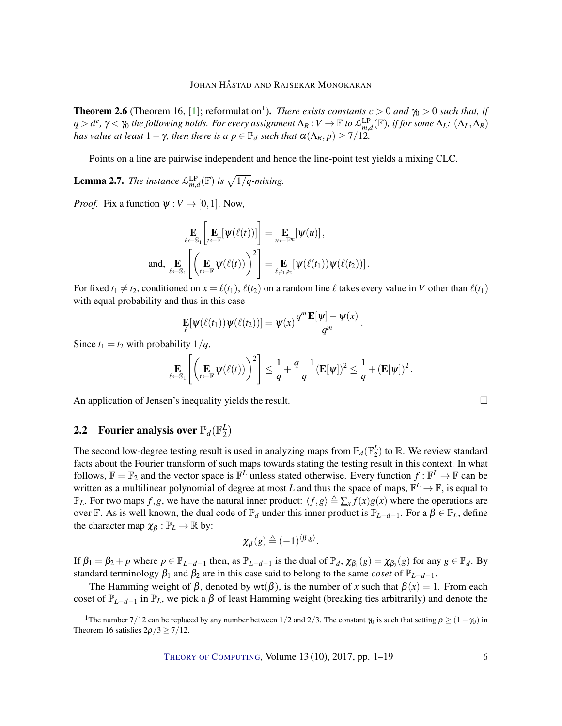<span id="page-5-2"></span><span id="page-5-0"></span>**Theorem 2.6** (Theorem 16, [\[1\]](#page-16-7); reformulation<sup>1</sup>). *There exists constants*  $c > 0$  *and*  $\gamma_0 > 0$  *such that, if q* > *d*<sup>c</sup>,  $γ$  <  $γ$  *the following holds. For every assignment*  $Λ_R$  :  $V$   $\rightarrow$   $\mathbb F$  *to*  $\mathcal{L}_{m,d}^{LP}(\mathbb F)$ *, if for some*  $Λ_L$ :  $(Λ_L,Λ_R)$ *has value at least*  $1 - \gamma$ *, then there is a*  $p \in \mathbb{P}_d$  *such that*  $\alpha(\Lambda_R, p) \geq \frac{7}{12}$ .

Points on a line are pairwise independent and hence the line-point test yields a mixing CLC.

<span id="page-5-1"></span>**Lemma 2.7.** *The instance*  $\mathcal{L}_{m,d}^{\text{LP}}(\mathbb{F})$  *is*  $\sqrt{1/q}$ -mixing.

*Proof.* Fix a function  $\psi : V \to [0,1]$ . Now,

$$
\underset{\ell \leftarrow \mathbb{S}_1}{\mathbf{E}} \left[ \underset{\ell \leftarrow \mathbb{S}_1}{\mathbf{E}} \left[ \psi(\ell(t)) \right] \right] = \underset{\mu \leftarrow \mathbb{F}^m}{\mathbf{E}} \left[ \psi(u) \right],
$$
\nand, 
$$
\underset{\ell \leftarrow \mathbb{S}_1}{\mathbf{E}} \left[ \left( \underset{t \leftarrow \mathbb{F}}{\mathbf{E}} \psi(\ell(t)) \right)^2 \right] = \underset{\ell, t_1, t_2}{\mathbf{E}} \left[ \psi(\ell(t_1)) \psi(\ell(t_2)) \right].
$$

For fixed  $t_1 \neq t_2$ , conditioned on  $x = \ell(t_1)$ ,  $\ell(t_2)$  on a random line  $\ell$  takes every value in *V* other than  $\ell(t_1)$ with equal probability and thus in this case

$$
\mathbf{E}[\psi(\ell(t_1))\psi(\ell(t_2))] = \psi(x)\frac{q^m\mathbf{E}[\psi] - \psi(x)}{q^m}.
$$

Since  $t_1 = t_2$  with probability  $1/q$ ,

$$
\mathop{\mathbf{E}}_{\ell \leftarrow \mathbb{S}_1} \left[ \left( \mathop{\mathbf{E}}_{t \leftarrow \mathbb{F}} \psi(\ell(t)) \right)^2 \right] \leq \frac{1}{q} + \frac{q-1}{q} (\mathop{\mathbf{E}}[\psi])^2 \leq \frac{1}{q} + (\mathop{\mathbf{E}}[\psi])^2.
$$

An application of Jensen's inequality yields the result.  $\Box$ 

#### **2.2** Fourier analysis over  $\mathbb{P}_d(\mathbb{F}_2^L)$  $_{2}^{L})$

The second low-degree testing result is used in analyzing maps from  $\mathbb{P}_d(\mathbb{F}_2^L)$  to  $\mathbb{R}$ . We review standard facts about the Fourier transform of such maps towards stating the testing result in this context. In what follows,  $\mathbb{F} = \mathbb{F}_2$  and the vector space is  $\mathbb{F}^L$  unless stated otherwise. Every function  $f : \mathbb{F}^L \to \mathbb{F}$  can be written as a multilinear polynomial of degree at most *L* and thus the space of maps,  $\mathbb{F}^L \to \mathbb{F}$ , is equal to  $\mathbb{P}_L$ . For two maps *f*,*g*, we have the natural inner product:  $\langle f, g \rangle \triangleq \sum_x f(x)g(x)$  where the operations are over F. As is well known, the dual code of  $\mathbb{P}_d$  under this inner product is  $\mathbb{P}_{L-d-1}$ . For a  $\beta \in \mathbb{P}_L$ , define the character map  $\chi_{\beta} : \mathbb{P}_L \to \mathbb{R}$  by:

$$
\chi_{\beta}(g) \triangleq (-1)^{\langle \beta, g \rangle}.
$$

If  $\beta_1 = \beta_2 + p$  where  $p \in \mathbb{P}_{L-d-1}$  then, as  $\mathbb{P}_{L-d-1}$  is the dual of  $\mathbb{P}_d$ ,  $\chi_{\beta_1}(g) = \chi_{\beta_2}(g)$  for any  $g \in \mathbb{P}_d$ . By standard terminology  $\beta_1$  and  $\beta_2$  are in this case said to belong to the same *coset* of  $\mathbb{P}_{L-d-1}$ .

The Hamming weight of  $\beta$ , denoted by wt( $\beta$ ), is the number of *x* such that  $\beta(x) = 1$ . From each coset of  $\mathbb{P}_{L-d-1}$  in  $\mathbb{P}_L$ , we pick a  $\beta$  of least Hamming weight (breaking ties arbitrarily) and denote the

<sup>&</sup>lt;sup>1</sup>The number 7/12 can be replaced by any number between 1/2 and 2/3. The constant  $\gamma_0$  is such that setting  $\rho \ge (1-\gamma_0)$  in Theorem 16 satisfies  $2\rho/3 \ge 7/12$ .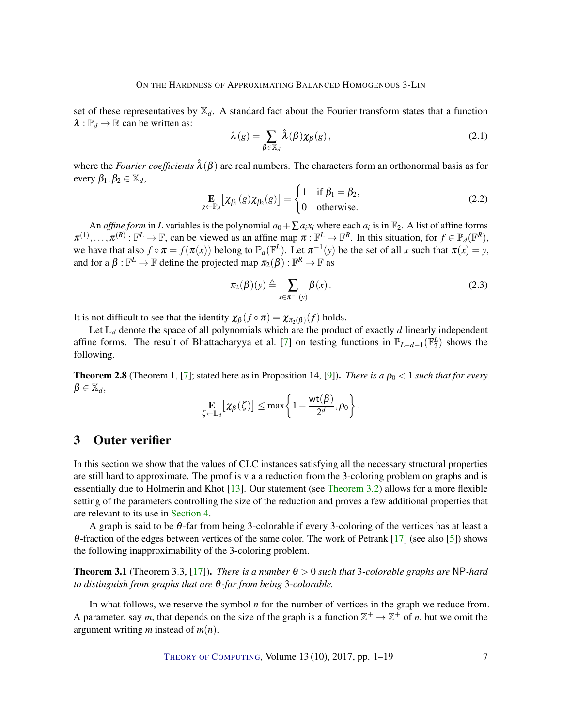<span id="page-6-3"></span>set of these representatives by  $\mathbb{X}_d$ . A standard fact about the Fourier transform states that a function  $\lambda : \mathbb{P}_d \to \mathbb{R}$  can be written as:

$$
\lambda(g) = \sum_{\beta \in \mathbb{X}_d} \hat{\lambda}(\beta) \chi_{\beta}(g), \qquad (2.1)
$$

where the *Fourier coefficients*  $\hat{\lambda}(\beta)$  are real numbers. The characters form an orthonormal basis as for every  $\beta_1, \beta_2 \in \mathbb{X}_d$ ,

$$
\mathop{\mathbf{E}}_{g \leftarrow \mathbb{P}_d} [\chi_{\beta_1}(g) \chi_{\beta_2}(g)] = \begin{cases} 1 & \text{if } \beta_1 = \beta_2, \\ 0 & \text{otherwise.} \end{cases} \tag{2.2}
$$

An *affine form* in *L* variables is the polynomial  $a_0 + \sum a_i x_i$  where each  $a_i$  is in  $\mathbb{F}_2$ . A list of affine forms  $\pi^{(1)}, \ldots, \pi^{(R)} : \mathbb{F}^L \to \mathbb{F}$ , can be viewed as an affine map  $\pi : \mathbb{F}^L \to \mathbb{F}^R$ . In this situation, for  $f \in \mathbb{P}_d(\mathbb{F}^R)$ , we have that also  $f \circ \pi = f(\pi(x))$  belong to  $\mathbb{P}_d(\mathbb{F}^L)$ . Let  $\pi^{-1}(y)$  be the set of all *x* such that  $\pi(x) = y$ , and for a  $\beta : \mathbb{F}^L \to \mathbb{F}$  define the projected map  $\pi_2(\beta) : \mathbb{F}^R \to \mathbb{F}$  as

$$
\pi_2(\beta)(y) \triangleq \sum_{x \in \pi^{-1}(y)} \beta(x).
$$
 (2.3)

It is not difficult to see that the identity  $\chi_{\beta}(f \circ \pi) = \chi_{\pi_2(\beta)}(f)$  holds.

Let  $\mathbb{L}_d$  denote the space of all polynomials which are the product of exactly  $d$  linearly independent affine forms. The result of Bhattacharyya et al. [\[7\]](#page-16-8) on testing functions in  $\mathbb{P}_{L-d-1}(\mathbb{F}_2^L)$  shows the following.

<span id="page-6-2"></span>**Theorem 2.8** (Theorem 1, [\[7\]](#page-16-8); stated here as in Proposition 14, [\[9\]](#page-16-6)). *There is a*  $\rho_0 < 1$  *such that for every*  $\beta \in \mathbb{X}_d$ ,

$$
\mathop{\mathbf{E}}\limits_{\zeta\leftarrow \mathbb{L}_d}\!\left[\chi_\beta(\zeta)\right]\leq \max\!\left\{1-\frac{\mathsf{wt}(\pmb{\beta})}{2^d},\rho_0\right\}.
$$

## <span id="page-6-0"></span>3 Outer verifier

In this section we show that the values of CLC instances satisfying all the necessary structural properties are still hard to approximate. The proof is via a reduction from the 3-coloring problem on graphs and is essentially due to Holmerin and Khot [\[13\]](#page-17-6). Our statement (see [Theorem](#page-7-0) [3.2\)](#page-7-0) allows for a more flexible setting of the parameters controlling the size of the reduction and proves a few additional properties that are relevant to its use in [Section](#page-10-0) [4.](#page-10-0)

A graph is said to be  $\theta$ -far from being 3-colorable if every 3-coloring of the vertices has at least a θ-fraction of the edges between vertices of the same color. The work of Petrank [\[17\]](#page-17-8) (see also [\[5\]](#page-16-9)) shows the following inapproximability of the 3-coloring problem.

<span id="page-6-1"></span>**Theorem 3.1** (Theorem 3.3, [\[17\]](#page-17-8)). *There is a number*  $\theta > 0$  *such that* 3*-colorable graphs are* NP-hard *to distinguish from graphs that are* θ*-far from being* 3*-colorable.*

In what follows, we reserve the symbol *n* for the number of vertices in the graph we reduce from. A parameter, say *m*, that depends on the size of the graph is a function  $\mathbb{Z}^+ \to \mathbb{Z}^+$  of *n*, but we omit the argument writing *m* instead of *m*(*n*).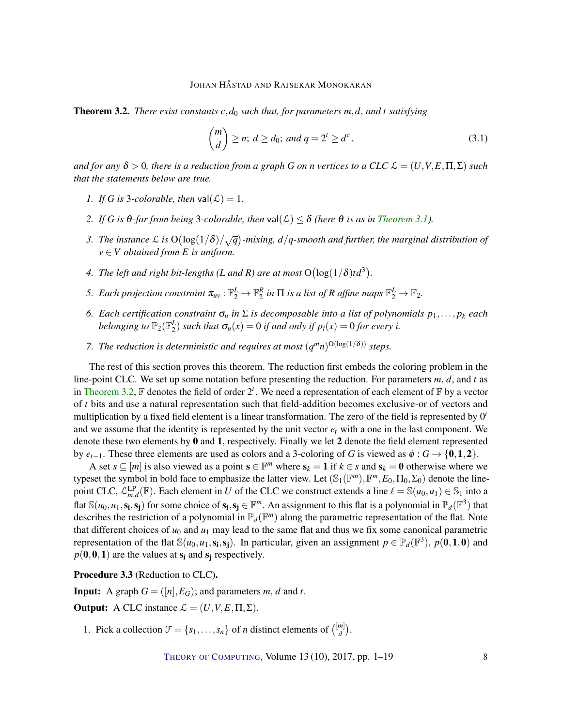<span id="page-7-0"></span>Theorem 3.2. *There exist constants c*,*d*<sup>0</sup> *such that, for parameters m*,*d*, *and t satisfying*

<span id="page-7-1"></span>
$$
\binom{m}{d} \ge n; \ d \ge d_0; \ and \ q = 2^t \ge d^c,
$$
\n
$$
(3.1)
$$

*and for any*  $\delta > 0$ , there is a reduction from a graph G on *n* vertices to a CLC  $\mathcal{L} = (U, V, E, \Pi, \Sigma)$  such *that the statements below are true.*

- <span id="page-7-4"></span>*1. If G is* 3*-colorable, then*  $val(\mathcal{L}) = 1$ *.*
- <span id="page-7-2"></span>*2. If G* is  $\theta$ *-far from being* 3*-colorable, then* val $(\mathcal{L}) \leq \delta$  *(here*  $\theta$  *is as in [Theorem](#page-6-1) [3.1\)](#page-6-1).*
- <span id="page-7-5"></span>3. The instance L is  $O(log(1/\delta)/\sqrt{q})$ -mixing,  $d/q$ -smooth and further, the marginal distribution of  $v \in V$  *obtained from E is uniform.*
- <span id="page-7-6"></span>4. The left and right bit-lengths (L and R) are at most  $O(log(1/\delta)td^3)$ .
- <span id="page-7-7"></span>*5. Each projection constraint*  $\pi_{uv} : \mathbb{F}_2^L \to \mathbb{F}_2^R$  *in*  $\Pi$  *is a list of R affine maps*  $\mathbb{F}_2^L \to \mathbb{F}_2$ *.*
- <span id="page-7-8"></span>*6. Each certification constraint*  $\sigma_u$  *in*  $\Sigma$  *is decomposable into a list of polynomials*  $p_1, \ldots, p_k$  *each belonging to*  $\mathbb{P}_2(\mathbb{F}_2^L)$  *such that*  $\sigma_u(x) = 0$  *if and only if*  $p_i(x) = 0$  *for every i.*
- <span id="page-7-9"></span>*7. The reduction is deterministic and requires at most*  $(q^m n)^{O(\log(1/\delta))}$  *steps.*

The rest of this section proves this theorem. The reduction first embeds the coloring problem in the line-point CLC. We set up some notation before presenting the reduction. For parameters *m*, *d*, and *t* as in [Theorem](#page-7-0) [3.2,](#page-7-0)  $\mathbb F$  denotes the field of order  $2^t$ . We need a representation of each element of  $\mathbb F$  by a vector of *t* bits and use a natural representation such that field-addition becomes exclusive-or of vectors and multiplication by a fixed field element is a linear transformation. The zero of the field is represented by 0<sup>*t*</sup> and we assume that the identity is represented by the unit vector  $e_t$  with a one in the last component. We denote these two elements by 0 and 1, respectively. Finally we let 2 denote the field element represented by  $e_{t-1}$ . These three elements are used as colors and a 3-coloring of *G* is viewed as  $\phi$  :  $G \rightarrow \{0,1,2\}$ .

A set  $s \subseteq [m]$  is also viewed as a point  $s \in \mathbb{F}^m$  where  $s_k = 1$  if  $k \in s$  and  $s_k = 0$  otherwise where we typeset the symbol in bold face to emphasize the latter view. Let  $(\mathbb{S}_1(\mathbb{F}^m), \mathbb{F}^m, E_0, \Pi_0, \Sigma_0)$  denote the linepoint CLC,  $\mathcal{L}_{m,d}^{\text{LP}}(\mathbb{F})$ . Each element in *U* of the CLC we construct extends a line  $\ell = \mathbb{S}(u_0, u_1) \in \mathbb{S}_1$  into a flat  $\mathbb{S}(u_0, u_1, s_i, s_j)$  for some choice of  $s_i, s_j \in \mathbb{F}^m$ . An assignment to this flat is a polynomial in  $\mathbb{P}_d(\mathbb{F}^3)$  that describes the restriction of a polynomial in  $\mathbb{P}_d(\mathbb{F}^m)$  along the parametric representation of the flat. Note that different choices of  $u_0$  and  $u_1$  may lead to the same flat and thus we fix some canonical parametric representation of the flat  $\mathbb{S}(u_0, u_1, s_i, s_j)$ . In particular, given an assignment  $p \in \mathbb{P}_d(\mathbb{F}^3)$ ,  $p(\mathbf{0}, \mathbf{1}, \mathbf{0})$  and  $p(0,0,1)$  are the values at  $s_i$  and  $s_j$  respectively.

<span id="page-7-3"></span>Procedure 3.3 (Reduction to CLC).

**Input:** A graph  $G = (\lbrace n \rbrace, E_G)$ ; and parameters *m*, *d* and *t*.

**Output:** A CLC instance  $\mathcal{L} = (U, V, E, \Pi, \Sigma)$ .

1. Pick a collection  $\mathcal{F} = \{s_1, \ldots, s_n\}$  of *n* distinct elements of  $\binom{[m]}{d}$ <sup>*m*]</sup>).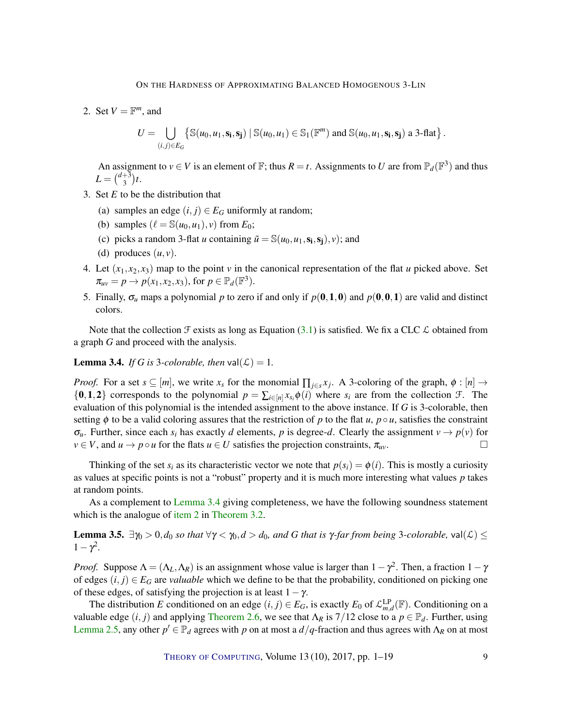2. Set  $V = \mathbb{F}^m$ , and

$$
U = \bigcup_{(i,j)\in E_G} \left\{ \mathbb{S}(u_0, u_1, \mathbf{s_i}, \mathbf{s_j}) \mid \mathbb{S}(u_0, u_1) \in \mathbb{S}_1(\mathbb{F}^m) \text{ and } \mathbb{S}(u_0, u_1, \mathbf{s_i}, \mathbf{s_j}) \text{ a 3-flat } \right\}.
$$

An assignment to  $v \in V$  is an element of  $\mathbb{F}$ ; thus  $R = t$ . Assignments to U are from  $\mathbb{P}_d(\mathbb{F}^3)$  and thus  $L = \binom{d+3}{3}$  $_{3}^{+3}$ )t.

- 3. Set *E* to be the distribution that
	- (a) samples an edge  $(i, j) \in E_G$  uniformly at random;
	- (b) samples  $(\ell = \mathbb{S}(u_0, u_1), v)$  from  $E_0$ ;
	- (c) picks a random 3-flat *u* containing  $\tilde{u} = \mathbb{S}(u_0, u_1, \mathbf{s_i}, \mathbf{s_j}), v$ ; and
	- (d) produces  $(u, v)$ .
- 4. Let  $(x_1, x_2, x_3)$  map to the point *v* in the canonical representation of the flat *u* picked above. Set  $\pi_{uv} = p \rightarrow p(x_1, x_2, x_3)$ , for  $p \in \mathbb{P}_d(\mathbb{F}^3)$ .
- 5. Finally,  $\sigma_u$  maps a polynomial p to zero if and only if  $p(0,1,0)$  and  $p(0,0,1)$  are valid and distinct colors.

Note that the collection  $\mathcal F$  exists as long as Equation [\(3.1\)](#page-7-1) is satisfied. We fix a CLC  $\mathcal L$  obtained from a graph *G* and proceed with the analysis.

<span id="page-8-0"></span>**Lemma 3.4.** *If G is* 3*-colorable, then*  $val(\mathcal{L}) = 1$ *.* 

*Proof.* For a set  $s \subseteq [m]$ , we write  $x_s$  for the monomial  $\prod_{j \in s} x_j$ . A 3-coloring of the graph,  $\phi : [n] \to$  $\{0,1,2\}$  corresponds to the polynomial  $p = \sum_{i \in [n]} x_{s_i} \phi(i)$  where  $s_i$  are from the collection  $\mathcal{F}$ . The evaluation of this polynomial is the intended assignment to the above instance. If *G* is 3-colorable, then setting  $\phi$  to be a valid coloring assures that the restriction of *p* to the flat *u*,  $p \circ u$ , satisfies the constraint  $\sigma_u$ . Further, since each  $s_i$  has exactly *d* elements, *p* is degree-*d*. Clearly the assignment  $v \to p(v)$  for  $v \in V$ , and  $u \to p \circ u$  for the flats  $u \in U$  satisfies the projection constraints,  $\pi_{uv}$ .

Thinking of the set  $s_i$  as its characteristic vector we note that  $p(s_i) = \phi(i)$ . This is mostly a curiosity as values at specific points is not a "robust" property and it is much more interesting what values *p* takes at random points.

As a complement to [Lemma](#page-8-0) [3.4](#page-8-0) giving completeness, we have the following soundness statement which is the analogue of [item](#page-7-2) [2](#page-7-2) in [Theorem](#page-7-0) [3.2.](#page-7-0)

<span id="page-8-1"></span>**Lemma 3.5.** ∃γ<sub>0</sub> > 0,*d*<sub>0</sub> *so that* ∀γ < γ<sub>0</sub>,*d* > *d*<sub>0</sub>*, and G that is* γ*-far from being* 3*-colorable,* val(*L*) ≤  $1 - \gamma^2$ .

*Proof.* Suppose  $\Lambda = (\Lambda_L, \Lambda_R)$  is an assignment whose value is larger than  $1 - \gamma^2$ . Then, a fraction  $1 - \gamma$ of edges  $(i, j) \in E_G$  are *valuable* which we define to be that the probability, conditioned on picking one of these edges, of satisfying the projection is at least  $1-\gamma$ .

The distribution *E* conditioned on an edge  $(i, j) \in E_G$ , is exactly  $E_0$  of  $\mathcal{L}_{m,d}^{LP}(F)$ . Conditioning on a valuable edge  $(i, j)$  and applying [Theorem](#page-5-0) [2.6,](#page-5-0) we see that  $\Lambda_R$  is 7/12 close to a  $p \in \mathbb{P}_d$ . Further, using [Lemma](#page-4-0) [2.5,](#page-4-0) any other  $p' \in \mathbb{P}_d$  agrees with *p* on at most a  $d/q$ -fraction and thus agrees with  $\Lambda_R$  on at most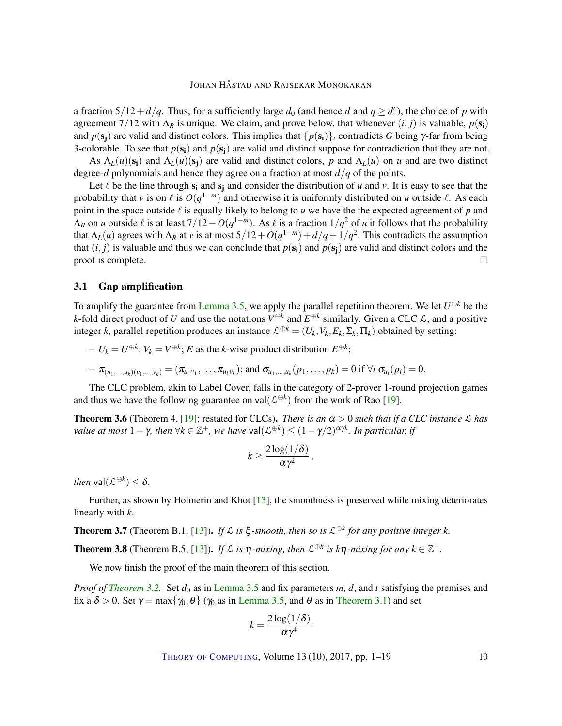<span id="page-9-3"></span>a fraction  $5/12 + d/q$ . Thus, for a sufficiently large  $d_0$  (and hence *d* and  $q \ge d^c$ ), the choice of *p* with agreement  $7/12$  with  $\Lambda_R$  is unique. We claim, and prove below, that whenever  $(i, j)$  is valuable,  $p(\mathbf{s_i})$ and  $p(s_i)$  are valid and distinct colors. This implies that  $\{p(s_i)\}\$ i contradicts *G* being  $\gamma$ -far from being 3-colorable. To see that  $p(s_i)$  and  $p(s_i)$  are valid and distinct suppose for contradiction that they are not.

As  $\Lambda_L(u)(s_i)$  and  $\Lambda_L(u)(s_i)$  are valid and distinct colors, p and  $\Lambda_L(u)$  on u and are two distinct degree-*d* polynomials and hence they agree on a fraction at most *d*/*q* of the points.

Let  $\ell$  be the line through  $s_i$  and  $s_j$  and consider the distribution of *u* and *v*. It is easy to see that the probability that *v* is on  $\ell$  is  $O(q^{1-m})$  and otherwise it is uniformly distributed on *u* outside  $\ell$ . As each point in the space outside  $\ell$  is equally likely to belong to  $u$  we have the the expected agreement of  $p$  and  $\Lambda_R$  on *u* outside  $\ell$  is at least 7/12−*O*( $q^{1-m}$ ). As  $\ell$  is a fraction 1/ $q^2$  of *u* it follows that the probability that  $\Lambda_L(u)$  agrees with  $\Lambda_R$  at *v* is at most  $5/12+O(q^{1-m})+d/q+1/q^2$ . This contradicts the assumption that  $(i, j)$  is valuable and thus we can conclude that  $p(s_i)$  and  $p(s_j)$  are valid and distinct colors and the proof is complete.  $\Box$ 

## 3.1 Gap amplification

To amplify the guarantee from [Lemma](#page-8-1) [3.5,](#page-8-1) we apply the parallel repetition theorem. We let  $U^{\oplus k}$  be the *k*-fold direct product of *U* and use the notations  $V^{\oplus k}$  and  $E^{\oplus k}$  similarly. Given a CLC  $\mathcal{L}$ , and a positive integer *k*, parallel repetition produces an instance  $\mathcal{L}^{\oplus k} = (U_k, V_k, E_k, \Sigma_k, \Pi_k)$  obtained by setting:

 $- U_k = U^{\oplus k}; V_k = V^{\oplus k}; E$  as the *k*-wise product distribution  $E^{\oplus k};$ 

$$
- \pi_{(u_1,...,u_k)(v_1,...,v_k)} = (\pi_{u_1v_1},\ldots,\pi_{u_kv_k}); \text{ and } \sigma_{u_1,...,u_k}(p_1,\ldots,p_k) = 0 \text{ if } \forall i \ \sigma_{u_i}(p_i) = 0.
$$

The CLC problem, akin to Label Cover, falls in the category of 2-prover 1-round projection games and thus we have the following guarantee on val $(\mathcal{L}^{\oplus k})$  from the work of Rao [\[19\]](#page-17-9).

<span id="page-9-0"></span>**Theorem 3.6** (Theorem 4, [\[19\]](#page-17-9); restated for CLCs). *There is an*  $\alpha > 0$  *such that if a CLC instance*  $\mathcal{L}$  *has value at most*  $1 - \gamma$ *, then*  $\forall k \in \mathbb{Z}^+$ *, we have* val $(\mathcal{L}^{\oplus k}) \leq (1 - \gamma/2)^{\alpha \gamma k}$ *. In particular, if* 

$$
k \geq \frac{2\log(1/\delta)}{\alpha\gamma^2},
$$

*then*  $\mathsf{val}(\mathcal{L}^{\oplus k}) \leq \delta$ .

Further, as shown by Holmerin and Khot [\[13\]](#page-17-6), the smoothness is preserved while mixing deteriorates linearly with *k*.

<span id="page-9-1"></span>**Theorem 3.7** (Theorem B.1, [\[13\]](#page-17-6)). *If*  $\mathcal{L}$  *is*  $\xi$ -smooth, then so is  $\mathcal{L}^{\oplus k}$  for any positive integer k.

<span id="page-9-2"></span>**Theorem 3.8** (Theorem B.5, [\[13\]](#page-17-6)). *If*  $\mathcal{L}$  *is*  $\eta$ *-mixing, then*  $\mathcal{L}^{\oplus k}$  *is*  $k\eta$ *-mixing for any*  $k \in \mathbb{Z}^+$ .

We now finish the proof of the main theorem of this section.

*Proof of [Theorem](#page-7-0)* [3.2.](#page-7-0) Set  $d_0$  as in [Lemma](#page-8-1) [3.5](#page-8-1) and fix parameters m, *d*, and *t* satisfying the premises and fix a  $\delta > 0$ . Set  $\gamma = \max{\{\gamma_0, \theta\}}$  ( $\gamma_0$  as in [Lemma](#page-8-1) [3.5,](#page-8-1) and  $\theta$  as in [Theorem](#page-6-1) [3.1\)](#page-6-1) and set

$$
k = \frac{2\log(1/\delta)}{\alpha\gamma^4}
$$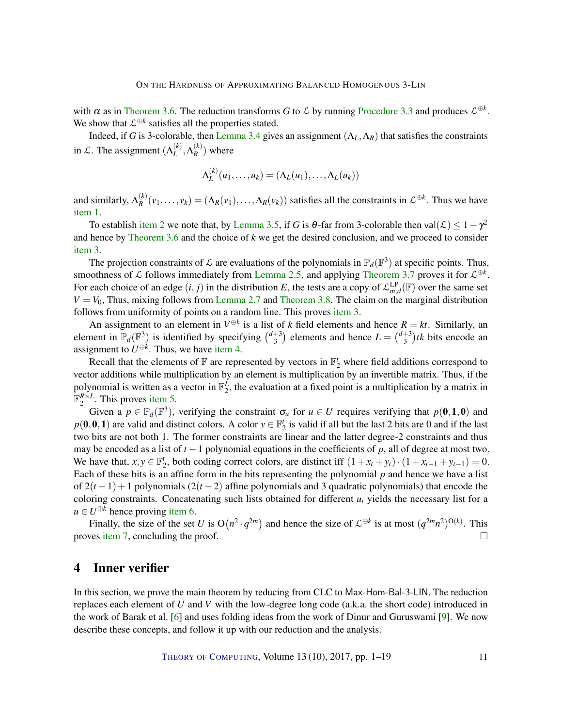<span id="page-10-1"></span>with  $\alpha$  as in [Theorem](#page-9-0) [3.6.](#page-9-0) The reduction transforms *G* to *L* by running [Procedure](#page-7-3) [3.3](#page-7-3) and produces  $\mathcal{L}^{\oplus k}$ . We show that  $\mathcal{L}^{\oplus k}$  satisfies all the properties stated.

Indeed, if *G* is 3-colorable, then [Lemma](#page-8-0) [3.4](#page-8-0) gives an assignment  $(\Lambda_L, \Lambda_R)$  that satisfies the constraints in *L*. The assignment  $(\Lambda_L^{(k)})$  $_L^{(k)}, \Lambda_R^{(k)}$  $\binom{k}{R}$  where

$$
\Lambda_L^{(k)}(u_1,\ldots,u_k)=(\Lambda_L(u_1),\ldots,\Lambda_L(u_k))
$$

and similarly,  $\Lambda_R^{(k)}$  $R^{(k)}(v_1,\ldots,v_k) = (\Lambda_R(v_1),\ldots,\Lambda_R(v_k))$  satisfies all the constraints in  $\mathcal{L}^{\oplus k}$ . Thus we have [item](#page-7-4) [1.](#page-7-4)

To establish [item](#page-7-2) [2](#page-7-2) we note that, by [Lemma](#page-8-1) [3.5,](#page-8-1) if *G* is  $\theta$ -far from 3-colorable then val $(\mathcal{L}) \leq 1 - \gamma^2$ and hence by [Theorem](#page-9-0) [3.6](#page-9-0) and the choice of *k* we get the desired conclusion, and we proceed to consider [item](#page-7-5) [3.](#page-7-5)

The projection constraints of  $\mathcal L$  are evaluations of the polynomials in  $\mathbb P_d(\mathbb F^3)$  at specific points. Thus, smoothness of  $\mathcal L$  follows immediately from [Lemma](#page-4-0) [2.5,](#page-4-0) and applying [Theorem](#page-9-1) [3.7](#page-9-1) proves it for  $\mathcal L^{\oplus k}$ . For each choice of an edge  $(i, j)$  in the distribution *E*, the tests are a copy of  $\mathcal{L}_{m,d}^{LP}(\mathbb{F})$  over the same set  $V = V_0$ , Thus, mixing follows from [Lemma](#page-5-1) [2.7](#page-5-1) and [Theorem](#page-9-2) [3.8.](#page-9-2) The claim on the marginal distribution follows from uniformity of points on a random line. This proves [item](#page-7-5) [3.](#page-7-5)

An assignment to an element in  $V^{\oplus k}$  is a list of *k* field elements and hence  $R = kt$ . Similarly, an element in  $\mathbb{P}_d(\mathbb{F}^3)$  is identified by specifying  $\binom{d+3}{3}$  $\binom{+3}{3}$  elements and hence  $L = \binom{d+3}{3}$  $t_3^{+3}$ )*tk* bits encode an assignment to  $U^{\oplus k}$ . Thus, we have [item](#page-7-6) [4.](#page-7-6)

Recall that the elements of  $\mathbb F$  are represented by vectors in  $\mathbb F_2^t$  where field additions correspond to vector additions while multiplication by an element is multiplication by an invertible matrix. Thus, if the polynomial is written as a vector in  $\mathbb{F}_2^L$ , the evaluation at a fixed point is a multiplication by a matrix in  $\mathbb{F}_2^{R \times L}$ . This proves [item](#page-7-7) [5.](#page-7-7)

Given a  $p \in \mathbb{P}_d(\mathbb{F}^3)$ , verifying the constraint  $\sigma_u$  for  $u \in U$  requires verifying that  $p(\mathbf{0},\mathbf{1},\mathbf{0})$  and  $p(0,0,1)$  are valid and distinct colors. A color  $y \in \mathbb{F}_2^t$  is valid if all but the last 2 bits are 0 and if the last two bits are not both 1. The former constraints are linear and the latter degree-2 constraints and thus may be encoded as a list of *t* −1 polynomial equations in the coefficients of *p*, all of degree at most two. We have that,  $x, y \in \mathbb{F}_2^t$ , both coding correct colors, are distinct iff  $(1 + x_t + y_t) \cdot (1 + x_{t-1} + y_{t-1}) = 0$ . Each of these bits is an affine form in the bits representing the polynomial *p* and hence we have a list of 2(*t* −1) +1 polynomials (2(*t* −2) affine polynomials and 3 quadratic polynomials) that encode the coloring constraints. Concatenating such lists obtained for different *u<sup>i</sup>* yields the necessary list for a  $u \in U^{\oplus k}$  hence proving [item](#page-7-8) [6.](#page-7-8)

Finally, the size of the set *U* is  $O(n^2 \cdot q^{2m})$  and hence the size of  $\mathcal{L}^{\oplus k}$  is at most  $(q^{2m}n^2)^{O(k)}$ . This proves [item](#page-7-9) [7,](#page-7-9) concluding the proof.

## <span id="page-10-0"></span>4 Inner verifier

In this section, we prove the main theorem by reducing from CLC to Max-Hom-Bal-3-LIN. The reduction replaces each element of *U* and *V* with the low-degree long code (a.k.a. the short code) introduced in the work of Barak et al. [\[6\]](#page-16-5) and uses folding ideas from the work of Dinur and Guruswami [\[9\]](#page-16-6). We now describe these concepts, and follow it up with our reduction and the analysis.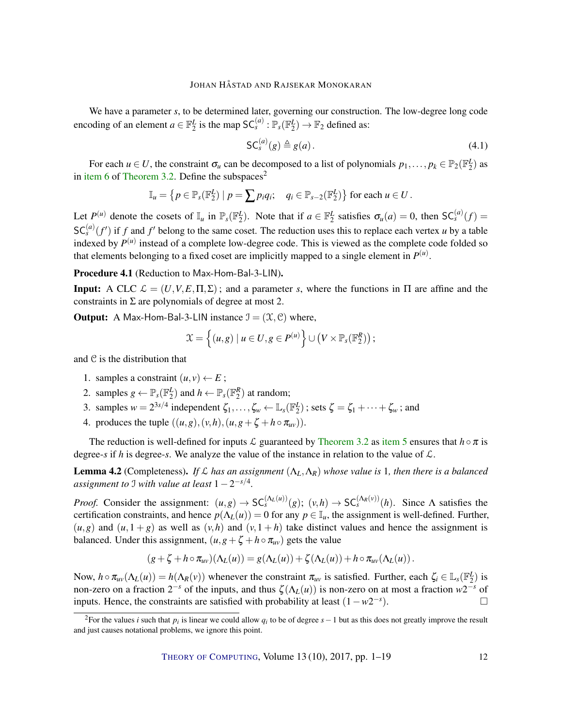We have a parameter *s*, to be determined later, governing our construction. The low-degree long code encoding of an element  $a \in \mathbb{F}_2^L$  is the map  $SC_s^{(a)} : \mathbb{P}_s(\mathbb{F}_2^L) \to \mathbb{F}_2$  defined as:

$$
\mathsf{SC}_s^{(a)}(g) \triangleq g(a). \tag{4.1}
$$

For each  $u \in U$ , the constraint  $\sigma_u$  can be decomposed to a list of polynomials  $p_1, \ldots, p_k \in \mathbb{P}_2(\mathbb{F}_2^L)$  as in [item](#page-7-8) [6](#page-7-8) of [Theorem](#page-7-0) [3.2.](#page-7-0) Define the subspaces<sup>2</sup>

$$
\mathbb{I}_u = \left\{ p \in \mathbb{P}_s(\mathbb{F}_2^L) \mid p = \sum p_i q_i; \quad q_i \in \mathbb{P}_{s-2}(\mathbb{F}_2^L) \right\} \text{ for each } u \in U.
$$

Let  $P^{(u)}$  denote the cosets of  $\mathbb{I}_u$  in  $\mathbb{P}_s(\mathbb{F}_2^L)$ . Note that if  $a \in \mathbb{F}_2^L$  satisfies  $\sigma_u(a) = 0$ , then  $SC_s^{(a)}(f) =$  $SC_s^{(a)}(f')$  if *f* and *f'* belong to the same coset. The reduction uses this to replace each vertex *u* by a table indexed by  $P^{(u)}$  instead of a complete low-degree code. This is viewed as the complete code folded so that elements belonging to a fixed coset are implicitly mapped to a single element in  $P^{(u)}$ .

<span id="page-11-0"></span>Procedure 4.1 (Reduction to Max-Hom-Bal-3-LIN).

**Input:** A CLC  $\mathcal{L} = (U, V, E, \Pi, \Sigma)$ ; and a parameter *s*, where the functions in  $\Pi$  are affine and the constraints in  $\Sigma$  are polynomials of degree at most 2.

**Output:** A Max-Hom-Bal-3-LIN instance  $\mathcal{I} = (\mathcal{X}, \mathcal{C})$  where,

$$
\mathfrak{X} = \left\{ (u,g) \mid u \in U, g \in P^{(u)} \right\} \cup \left( V \times \mathbb{P}_s(\mathbb{F}_2^R) \right);
$$

and C is the distribution that

- 1. samples a constraint  $(u, v) \leftarrow E$ ;
- 2. samples  $g \leftarrow \mathbb{P}_s(\mathbb{F}_2^L)$  and  $h \leftarrow \mathbb{P}_s(\mathbb{F}_2^R)$  at random;
- 3. samples  $w = 2^{3s/4}$  independent  $\zeta_1, \ldots, \zeta_w \leftarrow \mathbb{L}_s(\mathbb{F}_2^L)$ ; sets  $\zeta = \zeta_1 + \cdots + \zeta_w$ ; and
- 4. produces the tuple  $((u, g), (v, h), (u, g + \zeta + h \circ \pi_{uv}))$ .

The reduction is well-defined for inputs L guaranteed by [Theorem](#page-7-0) [3.2](#page-7-0) as [item](#page-7-7) [5](#page-7-7) ensures that  $h \circ \pi$  is degree-*s* if *h* is degree-*s*. We analyze the value of the instance in relation to the value of  $\mathcal{L}$ .

<span id="page-11-1"></span>**Lemma 4.2** (Completeness). *If*  $\mathcal{L}$  *has an assignment*  $(\Lambda_L, \Lambda_R)$  *whose value is* 1*, then there is a balanced assignment to* I *with value at least* 1−2 −*s*/4 *.*

*Proof.* Consider the assignment:  $(u, g) \to SC_s^{(\Lambda_L(u))}(g)$ ;  $(v, h) \to SC_s^{(\Lambda_R(v))}(h)$ . Since  $\Lambda$  satisfies the certification constraints, and hence  $p(\Lambda_L(u)) = 0$  for any  $p \in \mathbb{I}_u$ , the assignment is well-defined. Further,  $(u, g)$  and  $(u, 1 + g)$  as well as  $(v, h)$  and  $(v, 1 + h)$  take distinct values and hence the assignment is balanced. Under this assignment,  $(u, g + \zeta + h \circ \pi_{uv})$  gets the value

$$
(g+\zeta+h\circ\pi_{uv})(\Lambda_L(u))=g(\Lambda_L(u))+\zeta(\Lambda_L(u))+h\circ\pi_{uv}(\Lambda_L(u)).
$$

Now,  $h \circ \pi_{uv}(\Lambda_L(u)) = h(\Lambda_R(v))$  whenever the constraint  $\pi_{uv}$  is satisfied. Further, each  $\zeta_i \in \mathbb{L}_s(\mathbb{F}_2^L)$  is non-zero on a fraction  $2^{-s}$  of the inputs, and thus  $\zeta(\Lambda_L(u))$  is non-zero on at most a fraction  $w2^{-s}$  of inputs. Hence, the constraints are satisfied with probability at least  $(1 - w2^{-s})$  $\Box$ 

<sup>&</sup>lt;sup>2</sup>For the values *i* such that  $p_i$  is linear we could allow  $q_i$  to be of degree  $s-1$  but as this does not greatly improve the result and just causes notational problems, we ignore this point.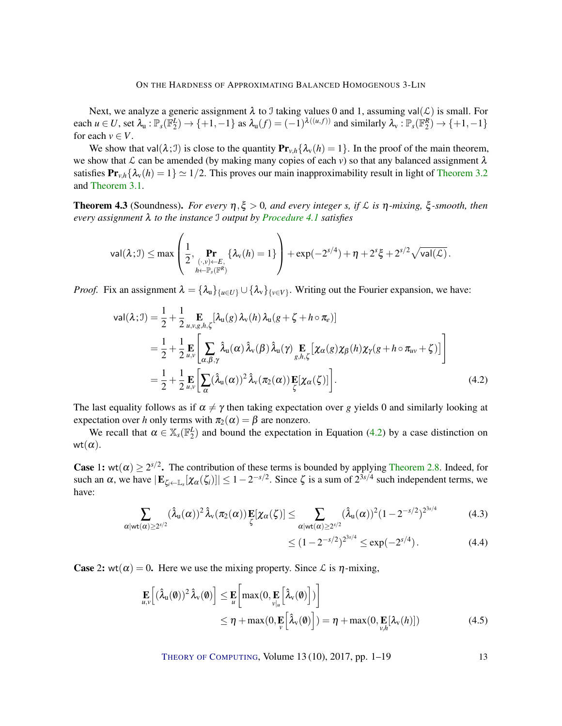#### ON THE HARDNESS OF APPROXIMATING BALANCED HOMOGENOUS 3-LIN

Next, we analyze a generic assignment  $\lambda$  to J taking values 0 and 1, assuming val( $\mathcal{L}$ ) is small. For each  $u \in U$ , set  $\lambda_u : \mathbb{P}_s(\mathbb{F}_2^L) \to \{+1, -1\}$  as  $\lambda_u(f) = (-1)^{\lambda((u,f))}$  and similarly  $\lambda_v : \mathbb{P}_s(\mathbb{F}_2^R) \to \{+1, -1\}$ for each  $v \in V$ .

We show that val $(\lambda; \mathcal{I})$  is close to the quantity  $\mathbf{Pr}_{\nu, h} \{\lambda_{\nu}(h) = 1\}$ . In the proof of the main theorem, we show that  $\mathcal L$  can be amended (by making many copies of each  $v$ ) so that any balanced assignment  $\lambda$ satisfies  $\Pr_{v,h} \{\lambda_v(h) = 1\} \simeq 1/2$ . This proves our main inapproximability result in light of [Theorem](#page-7-0) [3.2](#page-7-0) and [Theorem](#page-6-1) [3.1.](#page-6-1)

<span id="page-12-1"></span>**Theorem 4.3** (Soundness). *For every*  $η, ξ > 0$ *, and every integer s, if*  $L$  *is*  $η$ *-mixing,*  $ξ$ *-smooth, then every assignment* λ *to the instance* I *output by [Procedure](#page-11-0) [4.1](#page-11-0) satisfies*

$$
\mathsf{val}(\lambda; \mathcal{I}) \leq \max \left( \frac{1}{2}, \Pr_{\substack{(\cdot, v) \leftarrow E, \\ h \leftarrow \mathbb{P}_s(\mathbb{F}^R)}} \{ \lambda_v(h) = 1 \} \right) + \exp(-2^{s/4}) + \eta + 2^s \xi + 2^{s/2} \sqrt{\mathsf{val}(\mathcal{L})}.
$$

*Proof.* Fix an assignment  $\lambda = {\lambda_u}_{u \in U} \cup {\lambda_v}_{v \in V}$ . Writing out the Fourier expansion, we have:

$$
\text{val}(\lambda; \mathcal{I}) = \frac{1}{2} + \frac{1}{2} \underset{u, v, g, h, \zeta}{\mathbf{E}} [\lambda_{u}(g) \lambda_{v}(h) \lambda_{u}(g + \zeta + h \circ \pi_{e})]
$$
  
\n
$$
= \frac{1}{2} + \frac{1}{2} \underset{u, v}{\mathbf{E}} \left[ \sum_{\alpha, \beta, \gamma} \hat{\lambda}_{u}(\alpha) \hat{\lambda}_{v}(\beta) \hat{\lambda}_{u}(\gamma) \underset{g, h, \zeta}{\mathbf{E}} [\chi_{\alpha}(g) \chi_{\beta}(h) \chi_{\gamma}(g + h \circ \pi_{uv} + \zeta)] \right]
$$
  
\n
$$
= \frac{1}{2} + \frac{1}{2} \underset{u, v}{\mathbf{E}} \left[ \sum_{\alpha} (\hat{\lambda}_{u}(\alpha))^{2} \hat{\lambda}_{v}(\pi_{2}(\alpha)) \underset{\zeta}{\mathbf{E}} [\chi_{\alpha}(\zeta)] \right]. \tag{4.2}
$$

The last equality follows as if  $\alpha \neq \gamma$  then taking expectation over *g* yields 0 and similarly looking at expectation over *h* only terms with  $\pi_2(\alpha) = \beta$  are nonzero.

We recall that  $\alpha \in X_s(\mathbb{F}_2^L)$  and bound the expectation in Equation [\(4.2\)](#page-12-0) by a case distinction on wt $(\alpha)$ .

**Case** 1: wt( $\alpha$ )  $\geq 2^{s/2}$ . The contribution of these terms is bounded by applying [Theorem](#page-6-2) [2.8.](#page-6-2) Indeed, for such an  $\alpha$ , we have  $|\mathbf{E}_{\zeta_i \leftarrow \mathbb{L}_s}[\chi_\alpha(\zeta_i)]| \leq 1 - 2^{-s/2}$ . Since  $\zeta$  is a sum of  $2^{3s/4}$  such independent terms, we have:

$$
\sum_{\alpha|\text{wt}(\alpha)\geq 2^{s/2}} (\hat{\lambda}_{\mathbf{u}}(\alpha))^2 \hat{\lambda}_{\mathbf{v}}(\pi_2(\alpha)) \mathbf{E}[\chi_{\alpha}(\zeta)] \leq \sum_{\alpha|\text{wt}(\alpha)\geq 2^{s/2}} (\hat{\lambda}_{\mathbf{u}}(\alpha))^2 (1-2^{-s/2})^{2^{3s/4}} \tag{4.3}
$$

<span id="page-12-0"></span>
$$
\leq (1 - 2^{-s/2})^{2^{3s/4}} \leq \exp(-2^{s/4}). \tag{4.4}
$$

**Case** 2: wt( $\alpha$ ) = 0. Here we use the mixing property. Since  $\mathcal{L}$  is  $\eta$ -mixing,

$$
\mathbf{E}_{u,v} \Big[ (\hat{\lambda}_{u}(\mathbf{\emptyset}))^{2} \hat{\lambda}_{v}(\mathbf{\emptyset}) \Big] \leq \mathbf{E}_{u} \Big[ \max(0, \mathbf{E}_{v|u} \Big[ \hat{\lambda}_{v}(\mathbf{\emptyset}) \Big] ) \Big] \leq \eta + \max(0, \mathbf{E}_{v} \Big[ \hat{\lambda}_{v}(\mathbf{\emptyset}) \Big] ) = \eta + \max(0, \mathbf{E}_{v,h} [\lambda_{v}(h)])
$$
\n(4.5)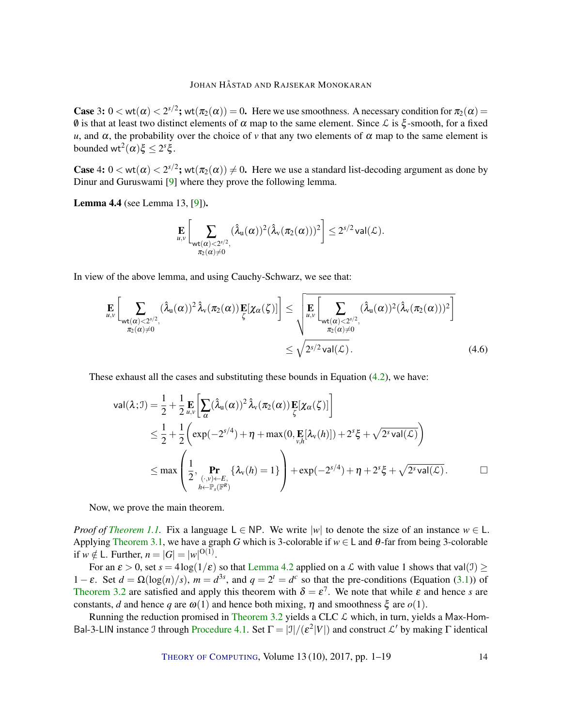<span id="page-13-0"></span>**Case** 3:  $0 < \text{wt}(\alpha) < 2^{s/2}$ ;  $\text{wt}(\pi_2(\alpha)) = 0$ . Here we use smoothness. A necessary condition for  $\pi_2(\alpha) =$  $\emptyset$  is that at least two distinct elements of  $\alpha$  map to the same element. Since  $\mathcal L$  is  $\xi$ -smooth, for a fixed *u*, and  $\alpha$ , the probability over the choice of *v* that any two elements of  $\alpha$  map to the same element is bounded  $wt^2(\alpha)\xi \leq 2^s\xi$ .

**Case** 4:  $0 < \text{wt}(\alpha) < 2^{s/2}$ ;  $\text{wt}(\pi_2(\alpha)) \neq 0$ . Here we use a standard list-decoding argument as done by Dinur and Guruswami [\[9\]](#page-16-6) where they prove the following lemma.

Lemma 4.4 (see Lemma 13, [\[9\]](#page-16-6)).

$$
\mathop{\mathbf{E}}_{u,v}\bigg[\sum_{\substack{\mathbf{wt}(\alpha)<2^{s/2},\\ \pi_2(\alpha)\neq 0}}(\hat{\lambda}_{u}(\alpha))^2(\hat{\lambda}_{v}(\pi_2(\alpha)))^2\bigg]\leq 2^{s/2}\,\text{val}(\mathcal{L}).
$$

In view of the above lemma, and using Cauchy-Schwarz, we see that:

$$
\mathbf{E}_{u,v}\left[\sum_{\substack{u,v(\alpha) < 2^{s/2}, \\ \pi_2(\alpha) \neq 0}} (\hat{\lambda}_u(\alpha))^2 \hat{\lambda}_v(\pi_2(\alpha)) \mathbf{E}[\chi_\alpha(\zeta)]\right] \leq \sqrt{\mathbf{E}_{u,v}\left[\sum_{\substack{u,v(\alpha) < 2^{s/2}, \\ \pi_2(\alpha) \neq 0}} (\hat{\lambda}_u(\alpha))^2 (\hat{\lambda}_v(\pi_2(\alpha)))^2\right]}
$$
\n
$$
\leq \sqrt{2^{s/2} \operatorname{val}(\mathcal{L})}. \tag{4.6}
$$

These exhaust all the cases and substituting these bounds in Equation [\(4.2\)](#page-12-0), we have:

$$
\operatorname{val}(\lambda; \mathcal{I}) = \frac{1}{2} + \frac{1}{2} \mathop{\mathbf{E}}_{u,v} \bigg[ \sum_{\alpha} (\hat{\lambda}_{\mathbf{u}}(\alpha))^2 \hat{\lambda}_{\mathbf{v}}(\pi_2(\alpha)) \mathop{\mathbf{E}}_{\zeta} [\chi_{\alpha}(\zeta)] \bigg]
$$
  
\n
$$
\leq \frac{1}{2} + \frac{1}{2} \bigg( \exp(-2^{s/4}) + \eta + \max(0, \mathop{\mathbf{E}}_{v,h} [\lambda_{\mathbf{v}}(h)]) + 2^s \xi + \sqrt{2^s \operatorname{val}(\mathcal{L})} \bigg)
$$
  
\n
$$
\leq \max \left( \frac{1}{2}, \Pr_{(.,v) \leftarrow E, \atop h \leftarrow \mathbb{P}_s(\mathbb{F}^R)} \{ \lambda_{\mathbf{v}}(h) = 1 \} \right) + \exp(-2^{s/4}) + \eta + 2^s \xi + \sqrt{2^s \operatorname{val}(\mathcal{L})}.
$$

Now, we prove the main theorem.

*Proof of [Theorem](#page-2-1) [1.1.](#page-2-1)* Fix a language  $L \in NP$ . We write  $|w|$  to denote the size of an instance  $w \in L$ . Applying [Theorem](#page-6-1) [3.1,](#page-6-1) we have a graph *G* which is 3-colorable if *w* ∈ L and θ-far from being 3-colorable if *w*  $\notin$  L. Further, *n* = |*G*| = |*w*|<sup>O(1)</sup>.

For an  $\varepsilon > 0$ , set  $s = 4\log(1/\varepsilon)$  so that [Lemma](#page-11-1) [4.2](#page-11-1) applied on a  $\mathcal L$  with value 1 shows that val(1)  $\ge$ 1 − ε. Set  $d = \Omega(\log(n)/s)$ ,  $m = d^{3s}$ , and  $q = 2^t = d^c$  so that the pre-conditions (Equation [\(3.1\)](#page-7-1)) of [Theorem](#page-7-0) [3.2](#page-7-0) are satisfied and apply this theorem with  $\delta = \varepsilon^7$ . We note that while  $\varepsilon$  and hence *s* are constants, *d* and hence *q* are  $\omega(1)$  and hence both mixing,  $\eta$  and smoothness  $\xi$  are  $o(1)$ .

Running the reduction promised in [Theorem](#page-7-0) [3.2](#page-7-0) yields a CLC  $\mathcal L$  which, in turn, yields a Max-Hom-Bal-3-LIN instance J through [Procedure](#page-11-0) [4.1.](#page-11-0) Set  $\Gamma = |J|/(\varepsilon^2|V|)$  and construct  $\mathcal{L}'$  by making  $\Gamma$  identical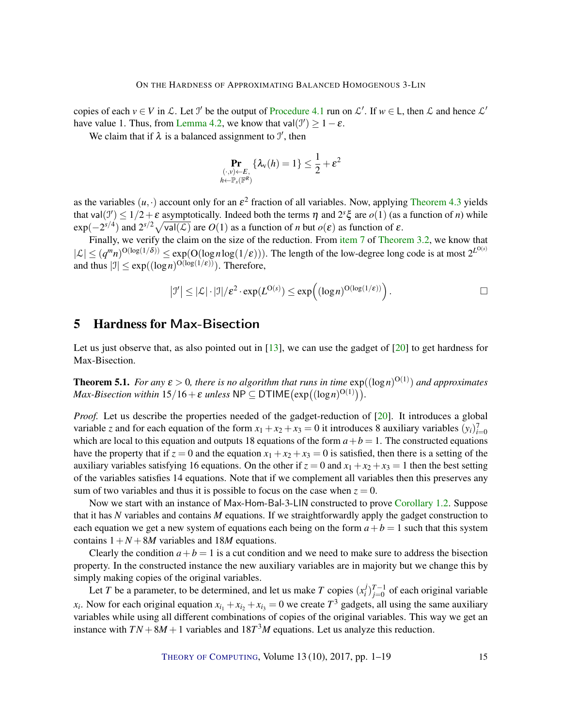<span id="page-14-2"></span>copies of each  $v \in V$  in  $\mathcal{L}$ . Let  $\mathcal{I}'$  be the output of [Procedure](#page-11-0) [4.1](#page-11-0) run on  $\mathcal{L}'$ . If  $w \in L$ , then  $\mathcal{L}$  and hence  $\mathcal{L}'$ have value 1. Thus, from [Lemma](#page-11-1) [4.2,](#page-11-1) we know that  $val(\mathcal{I}') \geq 1 - \varepsilon$ .

We claim that if  $\lambda$  is a balanced assignment to  $\mathcal{I}'$ , then

$$
\Pr_{\substack{(\cdot,\nu)\leftarrow E,\\ h\leftarrow \mathbb{P}_s(\mathbb{F}^R)}}\{\lambda_{\text{v}}(h)=1\}\leq \frac{1}{2}+\varepsilon^2
$$

as the variables  $(u, \cdot)$  account only for an  $\varepsilon^2$  fraction of all variables. Now, applying [Theorem](#page-12-1) [4.3](#page-12-1) yields that val $(3') \le 1/2 + \varepsilon$  asymptotically. Indeed both the terms  $\eta$  and  $2^s \xi$  are  $o(1)$  (as a function of *n*) while  $\exp(-2^{s/4})$  and  $2^{s/2}\sqrt{\text{val}(\mathcal{L})}$  are  $O(1)$  as a function of *n* but  $o(\varepsilon)$  as function of  $\varepsilon$ .

Finally, we verify the claim on the size of the reduction. From [item](#page-7-9) [7](#page-7-9) of [Theorem](#page-7-0) [3.2,](#page-7-0) we know that  $|\mathcal{L}| \leq (q^m n)^{O(\log(1/\delta))} \leq \exp(O(\log n \log(1/\epsilon)))$ . The length of the low-degree long code is at most  $2^{L^{O(s)}}$ and thus  $|\mathcal{I}| \leq \exp((\log n)^{O(\log(1/\epsilon))})$ . Therefore,

$$
|\mathcal{I}'| \leq |\mathcal{L}| \cdot |\mathcal{I}| / \varepsilon^2 \cdot \exp(L^{O(s)}) \leq \exp\left( (\log n)^{O(\log(1/\varepsilon))} \right).
$$

## <span id="page-14-0"></span>5 Hardness for Max-Bisection

Let us just observe that, as also pointed out in [\[13\]](#page-17-6), we can use the gadget of [\[20\]](#page-17-10) to get hardness for Max-Bisection.

<span id="page-14-1"></span>**Theorem 5.1.** *For any*  $\varepsilon > 0$ , there is no algorithm that runs in time  $\exp((\log n)^{O(1)})$  and approximates  $Max\text{-}Bisection \text{ within } 15/16 + \varepsilon \text{ unless } \textsf{NP} \subseteq \textsf{DTIME}\big(\exp\big((\log n)^{O(1)}\big)\big).$ 

*Proof.* Let us describe the properties needed of the gadget-reduction of [\[20\]](#page-17-10). It introduces a global variable *z* and for each equation of the form  $x_1 + x_2 + x_3 = 0$  it introduces 8 auxiliary variables  $(y_i)_{i=0}^7$ which are local to this equation and outputs 18 equations of the form  $a + b = 1$ . The constructed equations have the property that if  $z = 0$  and the equation  $x_1 + x_2 + x_3 = 0$  is satisfied, then there is a setting of the auxiliary variables satisfying 16 equations. On the other if  $z = 0$  and  $x_1 + x_2 + x_3 = 1$  then the best setting of the variables satisfies 14 equations. Note that if we complement all variables then this preserves any sum of two variables and thus it is possible to focus on the case when  $z = 0$ .

Now we start with an instance of Max-Hom-Bal-3-LIN constructed to prove [Corollary](#page-2-0) [1.2.](#page-2-0) Suppose that it has *N* variables and contains *M* equations. If we straightforwardly apply the gadget construction to each equation we get a new system of equations each being on the form  $a + b = 1$  such that this system contains  $1 + N + 8M$  variables and 18*M* equations.

Clearly the condition  $a + b = 1$  is a cut condition and we need to make sure to address the bisection property. In the constructed instance the new auxiliary variables are in majority but we change this by simply making copies of the original variables.

Let *T* be a parameter, to be determined, and let us make *T* copies  $(x_i^j)$  $i_j^{j}$  $T-1$  of each original variable *x*<sub>*i*</sub>. Now for each original equation  $x_{i_1} + x_{i_2} + x_{i_3} = 0$  we create  $T^3$  gadgets, all using the same auxiliary variables while using all different combinations of copies of the original variables. This way we get an instance with  $TN + 8M + 1$  variables and  $18T<sup>3</sup>M$  equations. Let us analyze this reduction.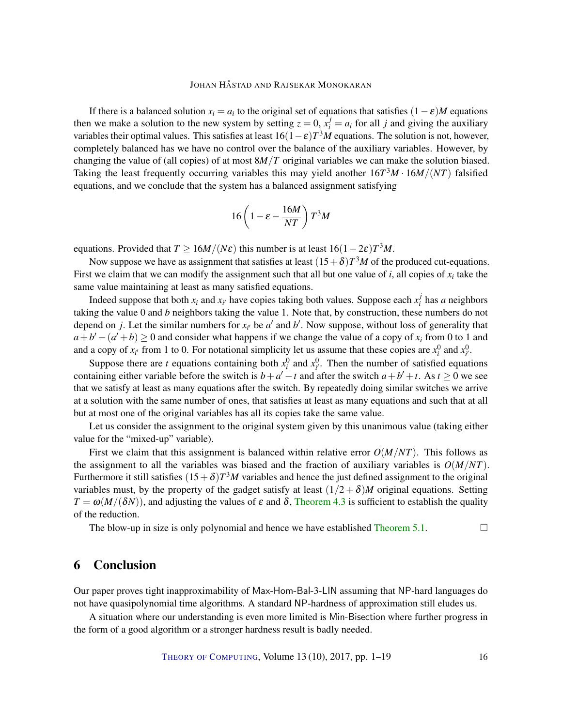If there is a balanced solution  $x_i = a_i$  to the original set of equations that satisfies  $(1 - \varepsilon)M$  equations then we make a solution to the new system by setting  $z = 0$ ,  $x_i^j = a_i$  for all *j* and giving the auxiliary variables their optimal values. This satisfies at least  $16(1-\varepsilon)T^3M$  equations. The solution is not, however, completely balanced has we have no control over the balance of the auxiliary variables. However, by changing the value of (all copies) of at most 8*M*/*T* original variables we can make the solution biased. Taking the least frequently occurring variables this may yield another 16*T* <sup>3</sup>*M* · 16*M*/(*NT*) falsified equations, and we conclude that the system has a balanced assignment satisfying

$$
16\left(1 - \varepsilon - \frac{16M}{NT}\right)T^3M
$$

equations. Provided that  $T \ge 16M/(N\varepsilon)$  this number is at least  $16(1-2\varepsilon)T^3M$ .

Now suppose we have as assignment that satisfies at least  $(15+\delta)T^3M$  of the produced cut-equations. First we claim that we can modify the assignment such that all but one value of  $i$ , all copies of  $x_i$  take the same value maintaining at least as many satisfied equations.

Indeed suppose that both  $x_i$  and  $x_{i'}$  have copies taking both values. Suppose each  $x_i^j$  $\frac{J}{i}$  has *a* neighbors taking the value 0 and *b* neighbors taking the value 1. Note that, by construction, these numbers do not depend on *j*. Let the similar numbers for  $x_i$  be  $a'$  and  $b'$ . Now suppose, without loss of generality that  $a + b' - (a' + b) \ge 0$  and consider what happens if we change the value of a copy of  $x_i$  from 0 to 1 and and a copy of  $x_{i'}$  from 1 to 0. For notational simplicity let us assume that these copies are  $x_i^0$  and  $x_{i'}^0$ .

Suppose there are *t* equations containing both  $x_i^0$  and  $x_i^0$ . Then the number of satisfied equations containing either variable before the switch is  $b + a' - t$  and after the switch  $a + b' + t$ . As  $t \ge 0$  we see that we satisfy at least as many equations after the switch. By repeatedly doing similar switches we arrive at a solution with the same number of ones, that satisfies at least as many equations and such that at all but at most one of the original variables has all its copies take the same value.

Let us consider the assignment to the original system given by this unanimous value (taking either value for the "mixed-up" variable).

First we claim that this assignment is balanced within relative error  $O(M/NT)$ . This follows as the assignment to all the variables was biased and the fraction of auxiliary variables is  $O(M/NT)$ . Furthermore it still satisfies  $(15+\delta)T^3M$  variables and hence the just defined assignment to the original variables must, by the property of the gadget satisfy at least  $(1/2 + \delta)M$  original equations. Setting  $T = \omega(M/(\delta N))$ , and adjusting the values of  $\varepsilon$  and  $\delta$ , [Theorem](#page-12-1) [4.3](#page-12-1) is sufficient to establish the quality of the reduction.

The blow-up in size is only polynomial and hence we have established [Theorem](#page-14-1) [5.1.](#page-14-1)  $\Box$ 

## 6 Conclusion

Our paper proves tight inapproximability of Max-Hom-Bal-3-LIN assuming that NP-hard languages do not have quasipolynomial time algorithms. A standard NP-hardness of approximation still eludes us.

A situation where our understanding is even more limited is Min-Bisection where further progress in the form of a good algorithm or a stronger hardness result is badly needed.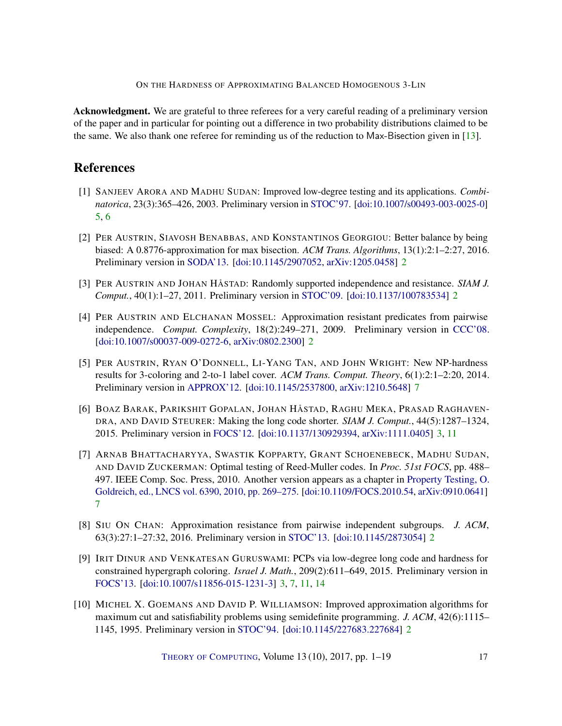ON THE HARDNESS OF APPROXIMATING BALANCED HOMOGENOUS 3-LIN

<span id="page-16-10"></span>Acknowledgment. We are grateful to three referees for a very careful reading of a preliminary version of the paper and in particular for pointing out a difference in two probability distributions claimed to be the same. We also thank one referee for reminding us of the reduction to Max-Bisection given in [\[13\]](#page-17-6).

# References

- <span id="page-16-7"></span>[1] SANJEEV ARORA AND MADHU SUDAN: Improved low-degree testing and its applications. *Combinatorica*, 23(3):365–426, 2003. Preliminary version in [STOC'97.](https://dx.doi.org/10.1145/258533.258642) [\[doi:10.1007/s00493-003-0025-0\]](http://dx.doi.org/10.1007/s00493-003-0025-0) [5,](#page-4-1) [6](#page-5-2)
- <span id="page-16-4"></span>[2] PER AUSTRIN, SIAVOSH BENABBAS, AND KONSTANTINOS GEORGIOU: Better balance by being biased: A 0.8776-approximation for max bisection. *ACM Trans. Algorithms*, 13(1):2:1–2:27, 2016. Preliminary version in [SODA'13.](https://dx.doi.org/10.1137/1.9781611973105.21) [\[doi:10.1145/2907052,](http://dx.doi.org/10.1145/2907052) [arXiv:1205.0458\]](http://arxiv.org/abs/1205.0458) [2](#page-1-0)
- <span id="page-16-2"></span>[3] PER AUSTRIN AND JOHAN HÅSTAD: Randomly supported independence and resistance. *SIAM J. Comput.*, 40(1):1–27, 2011. Preliminary version in [STOC'09.](https://dx.doi.org/10.1145/1536414.1536481) [\[doi:10.1137/100783534\]](http://dx.doi.org/10.1137/100783534) [2](#page-1-0)
- <span id="page-16-1"></span>[4] PER AUSTRIN AND ELCHANAN MOSSEL: Approximation resistant predicates from pairwise independence. *Comput. Complexity*, 18(2):249–271, 2009. Preliminary version in [CCC'08.](https://dx.doi.org/10.1109/CCC.2008.20) [\[doi:10.1007/s00037-009-0272-6,](http://dx.doi.org/10.1007/s00037-009-0272-6) [arXiv:0802.2300\]](http://arxiv.org/abs/0802.2300) [2](#page-1-0)
- <span id="page-16-9"></span>[5] PER AUSTRIN, RYAN O'DONNELL, LI-YANG TAN, AND JOHN WRIGHT: New NP-hardness results for 3-coloring and 2-to-1 label cover. *ACM Trans. Comput. Theory*, 6(1):2:1–2:20, 2014. Preliminary version in [APPROX'12.](https://dx.doi.org/10.1007/978-3-642-32512-0_1) [\[doi:10.1145/2537800,](http://dx.doi.org/10.1145/2537800) [arXiv:1210.5648\]](http://arxiv.org/abs/1210.5648) [7](#page-6-3)
- <span id="page-16-5"></span>[6] BOAZ BARAK, PARIKSHIT GOPALAN, JOHAN HÅSTAD, RAGHU MEKA, PRASAD RAGHAVEN-DRA, AND DAVID STEURER: Making the long code shorter. *SIAM J. Comput.*, 44(5):1287–1324, 2015. Preliminary version in [FOCS'12.](https://dx.doi.org/10.1109/FOCS.2012.83) [\[doi:10.1137/130929394,](http://dx.doi.org/10.1137/130929394) [arXiv:1111.0405\]](http://arxiv.org/abs/1111.0405) [3,](#page-2-2) [11](#page-10-1)
- <span id="page-16-8"></span>[7] ARNAB BHATTACHARYYA, SWASTIK KOPPARTY, GRANT SCHOENEBECK, MADHU SUDAN, AND DAVID ZUCKERMAN: Optimal testing of Reed-Muller codes. In *Proc. 51st FOCS*, pp. 488– 497. IEEE Comp. Soc. Press, 2010. Another version appears as a chapter in [Property Testing, O.](https://link.springer.com/chapter/10.1007%2F978-3-642-16367-8_19) [Goldreich, ed., LNCS vol. 6390, 2010, pp. 269–275.](https://link.springer.com/chapter/10.1007%2F978-3-642-16367-8_19) [\[doi:10.1109/FOCS.2010.54,](http://dx.doi.org/10.1109/FOCS.2010.54) [arXiv:0910.0641\]](http://arxiv.org/abs/0910.0641) [7](#page-6-3)
- <span id="page-16-0"></span>[8] SIU ON CHAN: Approximation resistance from pairwise independent subgroups. *J. ACM*, 63(3):27:1–27:32, 2016. Preliminary version in [STOC'13.](https://dx.doi.org/10.1145/2488608.2488665) [\[doi:10.1145/2873054\]](http://dx.doi.org/10.1145/2873054) [2](#page-1-0)
- <span id="page-16-6"></span>[9] IRIT DINUR AND VENKATESAN GURUSWAMI: PCPs via low-degree long code and hardness for constrained hypergraph coloring. *Israel J. Math.*, 209(2):611–649, 2015. Preliminary version in [FOCS'13.](https://dx.doi.org/10.1109/FOCS.2013.44) [\[doi:10.1007/s11856-015-1231-3\]](http://dx.doi.org/10.1007/s11856-015-1231-3) [3,](#page-2-2) [7,](#page-6-3) [11,](#page-10-1) [14](#page-13-0)
- <span id="page-16-3"></span>[10] MICHEL X. GOEMANS AND DAVID P. WILLIAMSON: Improved approximation algorithms for maximum cut and satisfiability problems using semidefinite programming. *J. ACM*, 42(6):1115– 1145, 1995. Preliminary version in [STOC'94.](https://dx.doi.org/10.1145/195058.195216) [\[doi:10.1145/227683.227684\]](http://dx.doi.org/10.1145/227683.227684) [2](#page-1-0)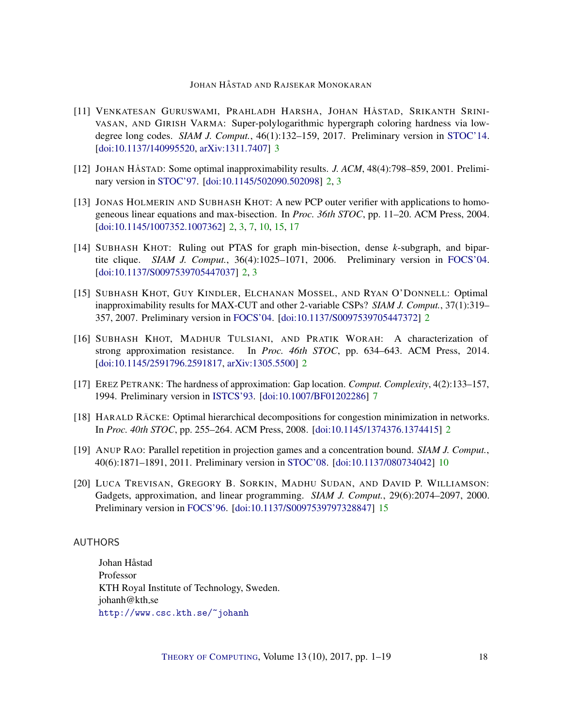- <span id="page-17-7"></span>[11] VENKATESAN GURUSWAMI, PRAHLADH HARSHA, JOHAN HÅSTAD, SRIKANTH SRINI-VASAN, AND GIRISH VARMA: Super-polylogarithmic hypergraph coloring hardness via lowdegree long codes. *SIAM J. Comput.*, 46(1):132–159, 2017. Preliminary version in [STOC'14.](https://dx.doi.org/10.1145/2591796.2591882) [\[doi:10.1137/140995520,](http://dx.doi.org/10.1137/140995520) [arXiv:1311.7407\]](http://arxiv.org/abs/1311.7407) [3](#page-2-2)
- <span id="page-17-1"></span>[12] JOHAN HÅSTAD: Some optimal inapproximability results. *J. ACM*, 48(4):798–859, 2001. Preliminary version in [STOC'97.](https://dx.doi.org/10.1145/258533.258536) [\[doi:10.1145/502090.502098\]](http://dx.doi.org/10.1145/502090.502098) [2,](#page-1-0) [3](#page-2-2)
- <span id="page-17-6"></span>[13] JONAS HOLMERIN AND SUBHASH KHOT: A new PCP outer verifier with applications to homogeneous linear equations and max-bisection. In *Proc. 36th STOC*, pp. 11–20. ACM Press, 2004. [\[doi:10.1145/1007352.1007362\]](http://dx.doi.org/10.1145/1007352.1007362) [2,](#page-1-0) [3,](#page-2-2) [7,](#page-6-3) [10,](#page-9-3) [15,](#page-14-2) [17](#page-16-10)
- <span id="page-17-5"></span>[14] SUBHASH KHOT: Ruling out PTAS for graph min-bisection, dense *k*-subgraph, and bipartite clique. *SIAM J. Comput.*, 36(4):1025–1071, 2006. Preliminary version in [FOCS'04.](https://dx.doi.org/10.1109/FOCS.2004.59) [\[doi:10.1137/S0097539705447037\]](http://dx.doi.org/10.1137/S0097539705447037) [2,](#page-1-0) [3](#page-2-2)
- <span id="page-17-3"></span>[15] SUBHASH KHOT, GUY KINDLER, ELCHANAN MOSSEL, AND RYAN O'DONNELL: Optimal inapproximability results for MAX-CUT and other 2-variable CSPs? *SIAM J. Comput.*, 37(1):319– 357, 2007. Preliminary version in [FOCS'04.](https://dx.doi.org/10.1109/FOCS.2004.49) [\[doi:10.1137/S0097539705447372\]](http://dx.doi.org/10.1137/S0097539705447372) [2](#page-1-0)
- <span id="page-17-2"></span>[16] SUBHASH KHOT, MADHUR TULSIANI, AND PRATIK WORAH: A characterization of strong approximation resistance. In *Proc. 46th STOC*, pp. 634–643. ACM Press, 2014. [\[doi:10.1145/2591796.2591817,](http://dx.doi.org/10.1145/2591796.2591817) [arXiv:1305.5500\]](http://arxiv.org/abs/1305.5500) [2](#page-1-0)
- <span id="page-17-8"></span>[17] EREZ PETRANK: The hardness of approximation: Gap location. *Comput. Complexity*, 4(2):133–157, 1994. Preliminary version in [ISTCS'93.](https://dx.doi.org/10.1109/ISTCS.1993.253461) [\[doi:10.1007/BF01202286\]](http://dx.doi.org/10.1007/BF01202286) [7](#page-6-3)
- <span id="page-17-4"></span>[18] HARALD RÄCKE: Optimal hierarchical decompositions for congestion minimization in networks. In *Proc. 40th STOC*, pp. 255–264. ACM Press, 2008. [\[doi:10.1145/1374376.1374415\]](http://dx.doi.org/10.1145/1374376.1374415) [2](#page-1-0)
- <span id="page-17-9"></span>[19] ANUP RAO: Parallel repetition in projection games and a concentration bound. *SIAM J. Comput.*, 40(6):1871–1891, 2011. Preliminary version in [STOC'08.](https://dx.doi.org/10.1145/1374376.1374378) [\[doi:10.1137/080734042\]](http://dx.doi.org/10.1137/080734042) [10](#page-9-3)
- <span id="page-17-10"></span>[20] LUCA TREVISAN, GREGORY B. SORKIN, MADHU SUDAN, AND DAVID P. WILLIAMSON: Gadgets, approximation, and linear programming. *SIAM J. Comput.*, 29(6):2074–2097, 2000. Preliminary version in [FOCS'96.](https://dx.doi.org/10.1109/SFCS.1996.548521) [\[doi:10.1137/S0097539797328847\]](http://dx.doi.org/10.1137/S0097539797328847) [15](#page-14-2)

## <span id="page-17-0"></span>AUTHORS

Johan Håstad Professor KTH Royal Institute of Technology, Sweden. johanh@kth.se <http://www.csc.kth.se/~johanh>